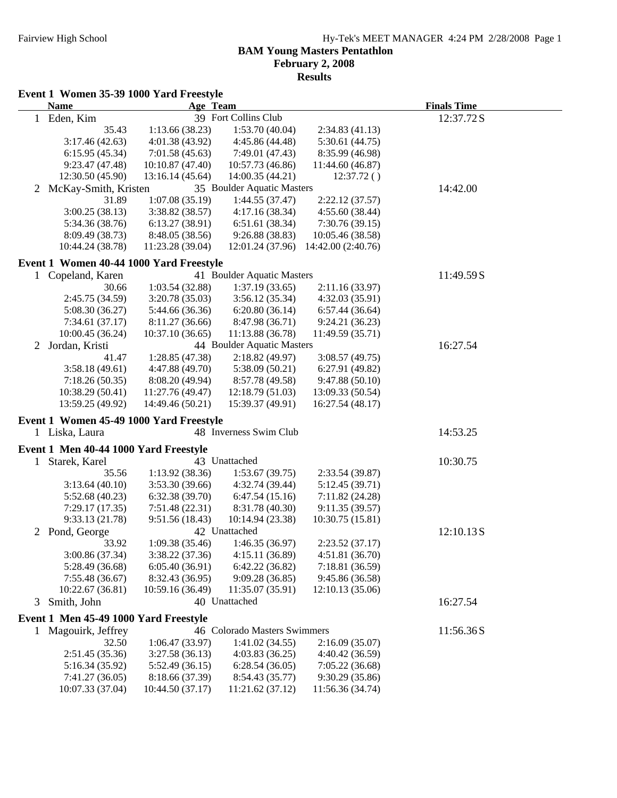# **BAM Young Masters Pentathlon February 2, 2008**

**Results**

### **Event 1 Women 35-39 1000 Yard Freestyle**

|   | <b>Name</b>                             | Age Team                         |                                  |                                   | <b>Finals Time</b> |  |
|---|-----------------------------------------|----------------------------------|----------------------------------|-----------------------------------|--------------------|--|
|   | 1 Eden, Kim                             |                                  | 39 Fort Collins Club             |                                   | 12:37.72S          |  |
|   | 35.43                                   | 1:13.66(38.23)                   | 1:53.70(40.04)                   | 2:34.83(41.13)                    |                    |  |
|   | 3:17.46(42.63)                          | 4:01.38(43.92)                   | 4:45.86 (44.48)                  | 5:30.61(44.75)                    |                    |  |
|   | 6:15.95(45.34)                          | 7:01.58(45.63)                   | 7:49.01 (47.43)                  | 8:35.99 (46.98)                   |                    |  |
|   | 9:23.47(47.48)                          | 10:10.87(47.40)                  | 10:57.73 (46.86)                 | 11:44.60 (46.87)                  |                    |  |
|   | 12:30.50 (45.90)                        | 13:16.14(45.64)                  | 14:00.35 (44.21)                 | 12:37.72()                        |                    |  |
|   | 2 McKay-Smith, Kristen                  |                                  | 35 Boulder Aquatic Masters       |                                   | 14:42.00           |  |
|   | 31.89                                   | 1:07.08(35.19)                   | 1:44.55(37.47)                   | 2:22.12(37.57)                    |                    |  |
|   | 3:00.25(38.13)                          | 3:38.82(38.57)                   | 4:17.16(38.34)                   | 4:55.60(38.44)                    |                    |  |
|   | 5:34.36 (38.76)                         | 6:13.27(38.91)                   | 6:51.61(38.34)                   | 7:30.76(39.15)                    |                    |  |
|   | 8:09.49 (38.73)                         | 8:48.05 (38.56)                  | 9:26.88(38.83)                   | 10:05.46 (38.58)                  |                    |  |
|   | 10:44.24 (38.78)                        | 11:23.28 (39.04)                 | 12:01.24 (37.96)                 | 14:42.00 (2:40.76)                |                    |  |
|   | Event 1 Women 40-44 1000 Yard Freestyle |                                  |                                  |                                   |                    |  |
|   | 1 Copeland, Karen                       |                                  | 41 Boulder Aquatic Masters       |                                   | 11:49.59S          |  |
|   | 30.66                                   | 1:03.54(32.88)                   | 1:37.19(33.65)                   | 2:11.16(33.97)                    |                    |  |
|   | 2:45.75 (34.59)                         | 3:20.78(35.03)                   | 3:56.12(35.34)                   | 4:32.03(35.91)                    |                    |  |
|   | 5:08.30 (36.27)                         | 5:44.66 (36.36)                  | 6:20.80(36.14)                   | 6:57.44(36.64)                    |                    |  |
|   | 7:34.61(37.17)                          | 8:11.27(36.66)                   | 8:47.98 (36.71)                  | 9:24.21(36.23)                    |                    |  |
|   | 10:00.45 (36.24)                        | 10:37.10(36.65)                  | 11:13.88 (36.78)                 | 11:49.59 (35.71)                  |                    |  |
| 2 | Jordan, Kristi                          |                                  | 44 Boulder Aquatic Masters       |                                   | 16:27.54           |  |
|   | 41.47                                   | 1:28.85(47.38)                   | 2:18.82(49.97)                   | 3:08.57(49.75)                    |                    |  |
|   | 3:58.18(49.61)                          | 4:47.88(49.70)                   | 5:38.09(50.21)                   | 6:27.91 (49.82)                   |                    |  |
|   | 7:18.26(50.35)                          | 8:08.20(49.94)                   | 8:57.78 (49.58)                  | 9:47.88(50.10)                    |                    |  |
|   | 10:38.29 (50.41)                        | 11:27.76 (49.47)                 | 12:18.79(51.03)                  | 13:09.33 (50.54)                  |                    |  |
|   | 13:59.25 (49.92)                        | 14:49.46 (50.21)                 | 15:39.37 (49.91)                 | 16:27.54 (48.17)                  |                    |  |
|   |                                         |                                  |                                  |                                   |                    |  |
|   | Event 1 Women 45-49 1000 Yard Freestyle |                                  |                                  |                                   |                    |  |
|   | 1 Liska, Laura                          |                                  | 48 Inverness Swim Club           |                                   | 14:53.25           |  |
|   | Event 1 Men 40-44 1000 Yard Freestyle   |                                  |                                  |                                   |                    |  |
| 1 | Starek, Karel                           |                                  | 43 Unattached                    |                                   | 10:30.75           |  |
|   | 35.56                                   | 1:13.92(38.36)                   | 1:53.67(39.75)                   | 2:33.54 (39.87)                   |                    |  |
|   | 3:13.64(40.10)                          | 3:53.30(39.66)                   | 4:32.74 (39.44)                  | 5:12.45(39.71)                    |                    |  |
|   | 5:52.68(40.23)                          | 6:32.38(39.70)                   | 6:47.54(15.16)                   | 7:11.82(24.28)                    |                    |  |
|   | 7:29.17(17.35)                          | 7:51.48(22.31)                   | 8:31.78 (40.30)                  | 9:11.35(39.57)                    |                    |  |
|   | 9:33.13(21.78)                          | 9:51.56(18.43)                   | 10:14.94 (23.38)                 | 10:30.75 (15.81)                  |                    |  |
|   | 2 Pond, George                          |                                  | 42 Unattached                    |                                   | 12:10.13S          |  |
|   | 33.92                                   | 1:09.38(35.46)                   | 1:46.35(36.97)                   | 2:23.52(37.17)                    |                    |  |
|   | 3:00.86 (37.34)                         | 3:38.22 (37.36)                  | 4:15.11 (36.89)                  | 4:51.81 (36.70)                   |                    |  |
|   | 5:28.49 (36.68)                         | 6:05.40(36.91)                   | 6:42.22 (36.82)                  | 7:18.81 (36.59)                   |                    |  |
|   | 7:55.48(36.67)                          | 8:32.43 (36.95)                  | 9:09.28(36.85)                   | 9:45.86 (36.58)                   |                    |  |
|   | 10:22.67(36.81)                         | 10:59.16 (36.49)                 | 11:35.07 (35.91)                 | 12:10.13 (35.06)                  |                    |  |
| 3 | Smith, John                             |                                  | 40 Unattached                    |                                   | 16:27.54           |  |
|   | Event 1 Men 45-49 1000 Yard Freestyle   |                                  |                                  |                                   |                    |  |
|   |                                         |                                  | 46 Colorado Masters Swimmers     |                                   |                    |  |
|   | 1 Magouirk, Jeffrey                     |                                  |                                  |                                   | 11:56.36S          |  |
|   | 32.50                                   | 1:06.47(33.97)<br>3:27.58(36.13) | 1:41.02(34.55)<br>4:03.83(36.25) | 2:16.09(35.07)                    |                    |  |
|   | 2:51.45 (35.36)<br>5:16.34(35.92)       | 5:52.49(36.15)                   | 6:28.54(36.05)                   | 4:40.42 (36.59)<br>7:05.22(36.68) |                    |  |
|   | 7:41.27 (36.05)                         | 8:18.66 (37.39)                  | 8:54.43 (35.77)                  | 9:30.29(35.86)                    |                    |  |
|   | 10:07.33 (37.04)                        | 10:44.50 (37.17)                 | 11:21.62 (37.12)                 | 11:56.36 (34.74)                  |                    |  |
|   |                                         |                                  |                                  |                                   |                    |  |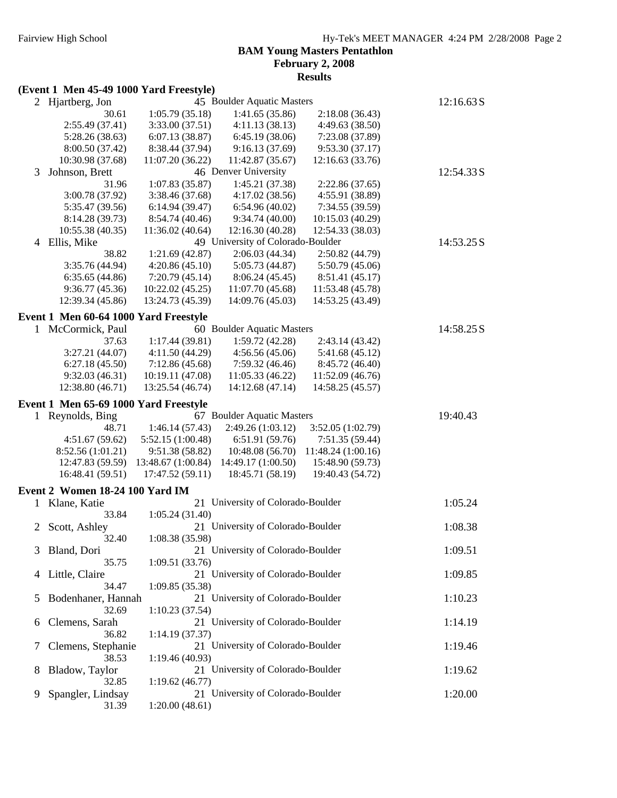#### **BAM Young Masters Pentathlon February 2, 2008 Results**

#### **(Event 1 Men 45-49 1000 Yard Freestyle)**

|   | 2 Hjartberg, Jon                      |                    | 45 Boulder Aquatic Masters                     |                                      | 12:16.63 S |
|---|---------------------------------------|--------------------|------------------------------------------------|--------------------------------------|------------|
|   | 30.61                                 | 1:05.79(35.18)     | 1:41.65(35.86)                                 | 2:18.08(36.43)                       |            |
|   | 2:55.49 (37.41)                       | 3:33.00(37.51)     | 4:11.13(38.13)                                 | 4:49.63 (38.50)                      |            |
|   | 5:28.26 (38.63)                       | 6:07.13(38.87)     | 6:45.19(38.06)                                 | 7:23.08 (37.89)                      |            |
|   | 8:00.50 (37.42)                       | 8:38.44 (37.94)    | 9:16.13(37.69)                                 | 9:53.30(37.17)                       |            |
|   | 10:30.98 (37.68)                      | 11:07.20 (36.22)   | 11:42.87 (35.67)                               | 12:16.63 (33.76)                     |            |
| 3 | Johnson, Brett                        |                    | 46 Denver University                           |                                      | 12:54.33 S |
|   | 31.96                                 | 1:07.83(35.87)     | 1:45.21 (37.38)                                | 2:22.86(37.65)                       |            |
|   | 3:00.78 (37.92)                       | 3:38.46 (37.68)    | 4:17.02(38.56)                                 | 4:55.91 (38.89)                      |            |
|   | 5:35.47 (39.56)                       | 6:14.94(39.47)     | 6:54.96(40.02)                                 | 7:34.55 (39.59)                      |            |
|   | 8:14.28 (39.73)                       | 8:54.74 (40.46)    | 9:34.74(40.00)                                 | 10:15.03 (40.29)                     |            |
|   | 10:55.38 (40.35)                      | 11:36.02 (40.64)   | 12:16.30 (40.28)                               | 12:54.33 (38.03)                     |            |
| 4 | Ellis, Mike                           |                    | 49 University of Colorado-Boulder              |                                      | 14:53.25 S |
|   | 38.82                                 | 1:21.69(42.87)     | 2:06.03(44.34)                                 | 2:50.82 (44.79)                      |            |
|   | 3:35.76 (44.94)                       | 4:20.86(45.10)     | 5:05.73 (44.87)                                | 5:50.79(45.06)                       |            |
|   | 6:35.65(44.86)                        | 7:20.79(45.14)     | 8:06.24(45.45)                                 | 8:51.41 (45.17)                      |            |
|   | 9:36.77(45.36)                        | 10:22.02 (45.25)   | 11:07.70(45.68)                                | 11:53.48 (45.78)                     |            |
|   | 12:39.34 (45.86)                      | 13:24.73 (45.39)   | 14:09.76 (45.03)                               | 14:53.25 (43.49)                     |            |
|   | Event 1 Men 60-64 1000 Yard Freestyle |                    |                                                |                                      |            |
|   | 1 McCormick, Paul                     |                    | 60 Boulder Aquatic Masters                     |                                      | 14:58.25S  |
|   | 37.63                                 | 1:17.44(39.81)     | 1:59.72(42.28)                                 | 2:43.14 (43.42)                      |            |
|   | 3:27.21(44.07)                        | 4:11.50(44.29)     | 4:56.56(45.06)                                 | 5:41.68 (45.12)                      |            |
|   | 6:27.18(45.50)                        | 7:12.86(45.68)     | 7:59.32(46.46)                                 | 8:45.72 (46.40)                      |            |
|   | 9:32.03(46.31)                        | 10:19.11 (47.08)   | 11:05.33 (46.22)                               | 11:52.09 (46.76)                     |            |
|   | 12:38.80 (46.71)                      | 13:25.54 (46.74)   | 14:12.68 (47.14)                               | 14:58.25 (45.57)                     |            |
|   |                                       |                    |                                                |                                      |            |
|   | Event 1 Men 65-69 1000 Yard Freestyle |                    |                                                |                                      |            |
|   | 1 Reynolds, Bing<br>48.71             | 1:46.14(57.43)     | 67 Boulder Aquatic Masters<br>2:49.26(1:03.12) |                                      | 19:40.43   |
|   | 4:51.67(59.62)                        | 5:52.15 (1:00.48)  | 6:51.91(59.76)                                 | 3:52.05 (1:02.79)<br>7:51.35 (59.44) |            |
|   | 8:52.56 (1:01.21)                     | 9:51.38(58.82)     | 10:48.08 (56.70)                               | 11:48.24 (1:00.16)                   |            |
|   | 12:47.83 (59.59)                      | 13:48.67 (1:00.84) | 14:49.17 (1:00.50)                             | 15:48.90 (59.73)                     |            |
|   | 16:48.41 (59.51)                      | 17:47.52 (59.11)   | 18:45.71 (58.19)                               | 19:40.43 (54.72)                     |            |
|   |                                       |                    |                                                |                                      |            |
|   | Event 2 Women 18-24 100 Yard IM       |                    |                                                |                                      |            |
| 1 | Klane, Katie                          |                    | 21 University of Colorado-Boulder              |                                      | 1:05.24    |
|   | 33.84                                 | 1:05.24(31.40)     |                                                |                                      |            |
| 2 | Scott, Ashley                         |                    | 21 University of Colorado-Boulder              |                                      | 1:08.38    |
|   | 32.40                                 | 1:08.38(35.98)     |                                                |                                      |            |
| 3 | Bland, Dori                           |                    | 21 University of Colorado-Boulder              |                                      | 1:09.51    |
|   | 35.75                                 | 1:09.51(33.76)     |                                                |                                      |            |
| 4 | Little, Claire                        |                    | 21 University of Colorado-Boulder              |                                      | 1:09.85    |
|   | 34.47                                 | 1:09.85 (35.38)    |                                                |                                      |            |
| 5 | Bodenhaner, Hannah                    |                    | 21 University of Colorado-Boulder              |                                      | 1:10.23    |
|   | 32.69                                 | 1:10.23(37.54)     |                                                |                                      |            |
| 6 | Clemens, Sarah                        |                    | 21 University of Colorado-Boulder              |                                      | 1:14.19    |
|   | 36.82                                 | 1:14.19(37.37)     |                                                |                                      |            |
| 7 |                                       |                    |                                                |                                      |            |
|   | Clemens, Stephanie                    |                    | 21 University of Colorado-Boulder              |                                      | 1:19.46    |
|   | 38.53                                 | 1:19.46(40.93)     |                                                |                                      |            |
| 8 | Bladow, Taylor                        |                    | 21 University of Colorado-Boulder              |                                      | 1:19.62    |
|   | 32.85                                 | 1:19.62(46.77)     |                                                |                                      |            |
| 9 | Spangler, Lindsay<br>31.39            | 1:20.00(48.61)     | 21 University of Colorado-Boulder              |                                      | 1:20.00    |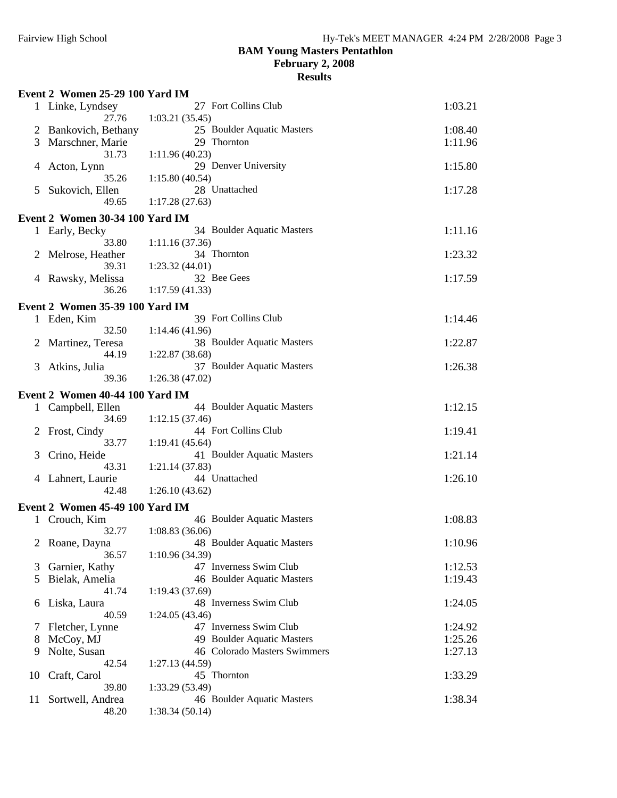**February 2, 2008**

|    | Event 2 Women 25-29 100 Yard IM |                                               |         |
|----|---------------------------------|-----------------------------------------------|---------|
|    | 1 Linke, Lyndsey<br>27.76       | 27 Fort Collins Club<br>1:03.21(35.45)        | 1:03.21 |
|    | Bankovich, Bethany              | 25 Boulder Aquatic Masters                    | 1:08.40 |
| 3  | Marschner, Marie                | 29 Thornton                                   | 1:11.96 |
|    | 31.73                           | 1:11.96(40.23)                                |         |
| 4  | Acton, Lynn                     | 29 Denver University                          | 1:15.80 |
|    | 35.26                           | 1:15.80(40.54)                                |         |
| 5  | Sukovich, Ellen                 | 28 Unattached                                 | 1:17.28 |
|    | 49.65                           | 1:17.28(27.63)                                |         |
|    | Event 2 Women 30-34 100 Yard IM |                                               |         |
|    | 1 Early, Becky                  | 34 Boulder Aquatic Masters                    | 1:11.16 |
|    | 33.80                           | 1:11.16(37.36)                                |         |
|    | Melrose, Heather                | 34 Thornton                                   | 1:23.32 |
|    | 39.31                           | 1:23.32(44.01)                                |         |
|    | 4 Rawsky, Melissa               | 32 Bee Gees                                   | 1:17.59 |
|    | 36.26                           | 1:17.59(41.33)                                |         |
|    | Event 2 Women 35-39 100 Yard IM |                                               |         |
|    | 1 Eden, Kim                     | 39 Fort Collins Club                          | 1:14.46 |
|    | 32.50                           | 1:14.46(41.96)                                |         |
| 2  | Martinez, Teresa                | 38 Boulder Aquatic Masters                    | 1:22.87 |
|    | 44.19                           | 1:22.87(38.68)                                |         |
| 3  | Atkins, Julia                   | 37 Boulder Aquatic Masters                    | 1:26.38 |
|    | 39.36                           | 1:26.38(47.02)                                |         |
|    | Event 2 Women 40-44 100 Yard IM |                                               |         |
|    | 1 Campbell, Ellen               | 44 Boulder Aquatic Masters                    | 1:12.15 |
|    | 34.69                           | 1:12.15(37.46)                                |         |
|    | Frost, Cindy                    | 44 Fort Collins Club                          | 1:19.41 |
|    | 33.77                           | 1:19.41(45.64)                                |         |
|    | Crino, Heide                    | 41 Boulder Aquatic Masters                    | 1:21.14 |
|    | 43.31                           | 1:21.14(37.83)                                |         |
|    | 4 Lahnert, Laurie               | 44 Unattached                                 | 1:26.10 |
|    | 42.48                           | 1:26.10(43.62)                                |         |
|    | Event 2 Women 45-49 100 Yard IM |                                               |         |
|    | Crouch, Kim                     | 46 Boulder Aquatic Masters                    | 1:08.83 |
|    | 32.77                           | 1:08.83(36.06)                                |         |
| 2  | Roane, Dayna                    | 48 Boulder Aquatic Masters                    | 1:10.96 |
|    | 36.57                           | 1:10.96(34.39)                                |         |
| 3  | Garnier, Kathy                  | 47 Inverness Swim Club                        | 1:12.53 |
| 5  | Bielak, Amelia                  | 46 Boulder Aquatic Masters                    | 1:19.43 |
|    | 41.74                           | 1:19.43(37.69)                                |         |
| 6  | Liska, Laura                    | 48 Inverness Swim Club                        | 1:24.05 |
|    | 40.59                           | 1:24.05(43.46)                                |         |
| 7  | Fletcher, Lynne                 | 47 Inverness Swim Club                        | 1:24.92 |
| 8  | McCoy, MJ                       | 49 Boulder Aquatic Masters                    | 1:25.26 |
| 9  | Nolte, Susan                    | 46 Colorado Masters Swimmers                  | 1:27.13 |
|    | 42.54                           | 1:27.13(44.59)                                |         |
| 10 | Craft, Carol                    | 45 Thornton                                   | 1:33.29 |
|    | 39.80                           | 1:33.29 (53.49)<br>46 Boulder Aquatic Masters | 1:38.34 |
| 11 | Sortwell, Andrea<br>48.20       | 1:38.34(50.14)                                |         |
|    |                                 |                                               |         |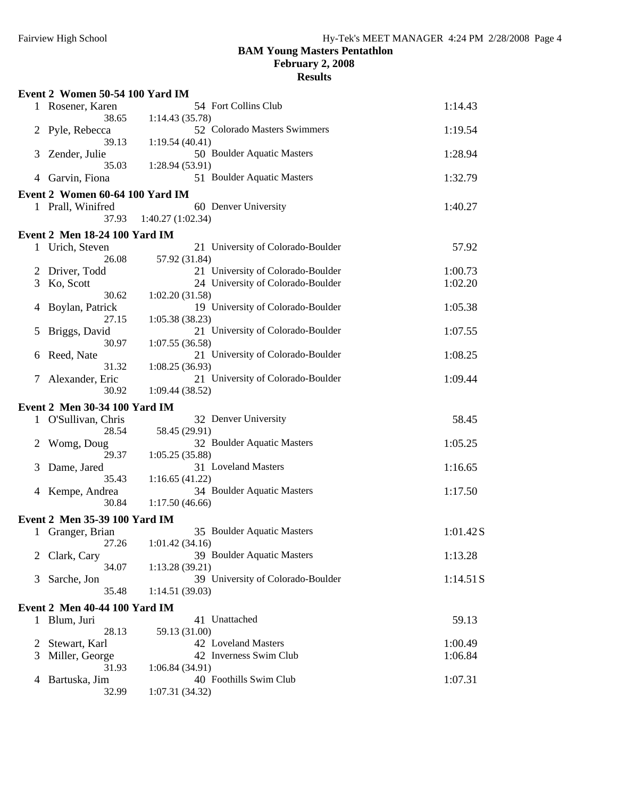**February 2, 2008**

|                | Event 2 Women 50-54 100 Yard IM      |                                                     |          |
|----------------|--------------------------------------|-----------------------------------------------------|----------|
|                | 1 Rosener, Karen                     | 54 Fort Collins Club                                | 1:14.43  |
|                | 38.65<br>2 Pyle, Rebecca             | 1:14.43 (35.78)<br>52 Colorado Masters Swimmers     | 1:19.54  |
| 3              | 39.13<br>Zender, Julie               | 1:19.54(40.41)<br>50 Boulder Aquatic Masters        | 1:28.94  |
| 4              | 35.03<br>Garvin, Fiona               | 1:28.94(53.91)<br>51 Boulder Aquatic Masters        | 1:32.79  |
|                | Event 2 Women 60-64 100 Yard IM      |                                                     |          |
|                | 1 Prall, Winifred                    | 60 Denver University                                | 1:40.27  |
|                | 37.93                                | 1:40.27(1:02.34)                                    |          |
|                | <b>Event 2 Men 18-24 100 Yard IM</b> |                                                     |          |
|                | 1 Urich, Steven                      | 21 University of Colorado-Boulder                   | 57.92    |
|                | 26.08                                | 57.92 (31.84)                                       |          |
| 2              | Driver, Todd                         | 21 University of Colorado-Boulder                   | 1:00.73  |
| 3              | Ko, Scott                            | 24 University of Colorado-Boulder                   | 1:02.20  |
|                | 30.62                                | 1:02.20(31.58)                                      |          |
| 4              | Boylan, Patrick                      | 19 University of Colorado-Boulder                   | 1:05.38  |
|                | 27.15                                | 1:05.38(38.23)                                      |          |
| 5              | Briggs, David                        | 21 University of Colorado-Boulder                   | 1:07.55  |
|                | 30.97                                | 1:07.55(36.58)                                      |          |
| 6              | Reed, Nate                           | 21 University of Colorado-Boulder                   | 1:08.25  |
|                | 31.32                                | 1:08.25(36.93)                                      |          |
| 7              | Alexander, Eric<br>30.92             | 21 University of Colorado-Boulder<br>1:09.44(38.52) | 1:09.44  |
|                |                                      |                                                     |          |
|                | Event 2 Men 30-34 100 Yard IM        |                                                     |          |
|                | 1 O'Sullivan, Chris                  | 32 Denver University                                | 58.45    |
|                | 28.54                                | 58.45 (29.91)<br>32 Boulder Aquatic Masters         | 1:05.25  |
| $\overline{2}$ | Womg, Doug<br>29.37                  | 1:05.25(35.88)                                      |          |
| 3              | Dame, Jared                          | 31 Loveland Masters                                 | 1:16.65  |
|                | 35.43                                | 1:16.65(41.22)                                      |          |
|                | 4 Kempe, Andrea                      | 34 Boulder Aquatic Masters                          | 1:17.50  |
|                | 30.84                                | 1:17.50(46.66)                                      |          |
|                | Event 2 Men 35-39 100 Yard IM        |                                                     |          |
|                | 1 Granger, Brian                     | 35 Boulder Aquatic Masters                          | 1:01.42S |
|                |                                      | 27.26 1:01.42 (34.16)                               |          |
| 2              | Clark, Cary                          | 39 Boulder Aquatic Masters                          | 1:13.28  |
|                | 34.07                                | 1:13.28 (39.21)                                     |          |
| 3              | Sarche, Jon                          | 39 University of Colorado-Boulder                   | 1:14.51S |
|                | 35.48                                | 1:14.51(39.03)                                      |          |
|                | <b>Event 2 Men 40-44 100 Yard IM</b> |                                                     |          |
|                | 1 Blum, Juri                         | 41 Unattached                                       | 59.13    |
|                | 28.13                                | 59.13 (31.00)                                       |          |
| 2              | Stewart, Karl                        | 42 Loveland Masters                                 | 1:00.49  |
| 3              | Miller, George                       | 42 Inverness Swim Club                              | 1:06.84  |
|                | 31.93                                | 1:06.84(34.91)                                      |          |
| 4              | Bartuska, Jim                        | 40 Foothills Swim Club                              | 1:07.31  |
|                | 32.99                                | 1:07.31 (34.32)                                     |          |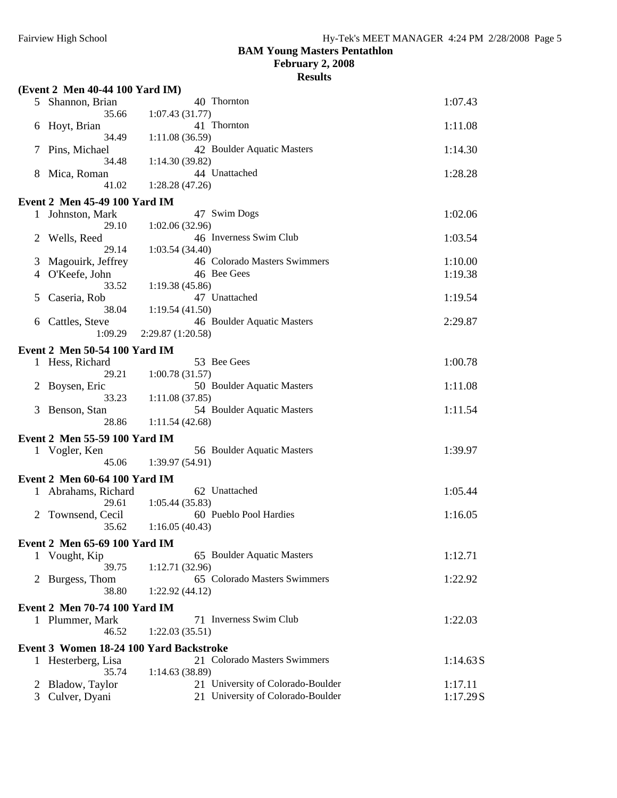**February 2, 2008**

|              | (Event 2 Men 40-44 100 Yard IM)         |                                              |          |
|--------------|-----------------------------------------|----------------------------------------------|----------|
| 5            | Shannon, Brian                          | 40 Thornton                                  | 1:07.43  |
| 6            | 35.66<br>Hoyt, Brian                    | 1:07.43(31.77)<br>41 Thornton                | 1:11.08  |
|              | 34.49<br>Pins, Michael                  | 1:11.08(36.59)<br>42 Boulder Aquatic Masters | 1:14.30  |
| 8            | 34.48<br>Mica, Roman                    | 1:14.30(39.82)<br>44 Unattached              | 1:28.28  |
|              | 41.02                                   | 1:28.28(47.26)                               |          |
|              | <b>Event 2 Men 45-49 100 Yard IM</b>    |                                              |          |
|              | 1 Johnston, Mark                        | 47 Swim Dogs                                 | 1:02.06  |
|              | 29.10                                   | 1:02.06(32.96)                               |          |
| 2            | Wells, Reed                             | 46 Inverness Swim Club                       | 1:03.54  |
|              | 29.14                                   | 1:03.54(34.40)                               |          |
| 3            | Magouirk, Jeffrey                       | 46 Colorado Masters Swimmers                 | 1:10.00  |
| 4            | O'Keefe, John                           | 46 Bee Gees                                  | 1:19.38  |
|              | 33.52                                   | 1:19.38(45.86)                               |          |
| 5            | Caseria, Rob                            | 47 Unattached                                | 1:19.54  |
|              | 38.04                                   | 1:19.54(41.50)                               |          |
| 6            | Cattles, Steve                          | 46 Boulder Aquatic Masters                   | 2:29.87  |
|              | 1:09.29                                 | 2:29.87(1:20.58)                             |          |
|              | <b>Event 2 Men 50-54 100 Yard IM</b>    |                                              |          |
|              | 1 Hess, Richard                         | 53 Bee Gees                                  | 1:00.78  |
|              | 29.21                                   | 1:00.78(31.57)                               |          |
| 2            | Boysen, Eric                            | 50 Boulder Aquatic Masters                   | 1:11.08  |
|              | 33.23                                   | 1:11.08(37.85)                               |          |
| 3            | Benson, Stan                            | 54 Boulder Aquatic Masters                   | 1:11.54  |
|              | 28.86                                   | 1:11.54(42.68)                               |          |
|              |                                         |                                              |          |
|              | Event 2 Men 55-59 100 Yard IM           |                                              |          |
|              | 1 Vogler, Ken                           | 56 Boulder Aquatic Masters                   | 1:39.97  |
|              | 45.06                                   | 1:39.97(54.91)                               |          |
|              | Event 2 Men 60-64 100 Yard IM           |                                              |          |
|              | 1 Abrahams, Richard                     | 62 Unattached                                | 1:05.44  |
|              | 29.61                                   | 1:05.44(35.83)                               |          |
| $\mathbf{2}$ | Townsend, Cecil                         | 60 Pueblo Pool Hardies                       | 1:16.05  |
|              | 35.62                                   | 1:16.05(40.43)                               |          |
|              |                                         |                                              |          |
|              | Event 2 Men 65-69 100 Yard IM           |                                              |          |
|              | 1 Vought, Kip                           | 65 Boulder Aquatic Masters                   | 1:12.71  |
|              | 39.75                                   | 1:12.71(32.96)                               |          |
| 2            | Burgess, Thom                           | 65 Colorado Masters Swimmers                 | 1:22.92  |
|              | 38.80                                   | 1:22.92(44.12)                               |          |
|              | <b>Event 2 Men 70-74 100 Yard IM</b>    |                                              |          |
|              | 1 Plummer, Mark                         | 71 Inverness Swim Club                       | 1:22.03  |
|              | 46.52                                   | 1:22.03(35.51)                               |          |
|              |                                         |                                              |          |
|              | Event 3 Women 18-24 100 Yard Backstroke |                                              |          |
|              | 1 Hesterberg, Lisa                      | 21 Colorado Masters Swimmers                 | 1:14.63S |
|              | 35.74                                   | 1:14.63(38.89)                               |          |
| 2            | Bladow, Taylor                          | 21 University of Colorado-Boulder            | 1:17.11  |
| 3            | Culver, Dyani                           | 21 University of Colorado-Boulder            | 1:17.29S |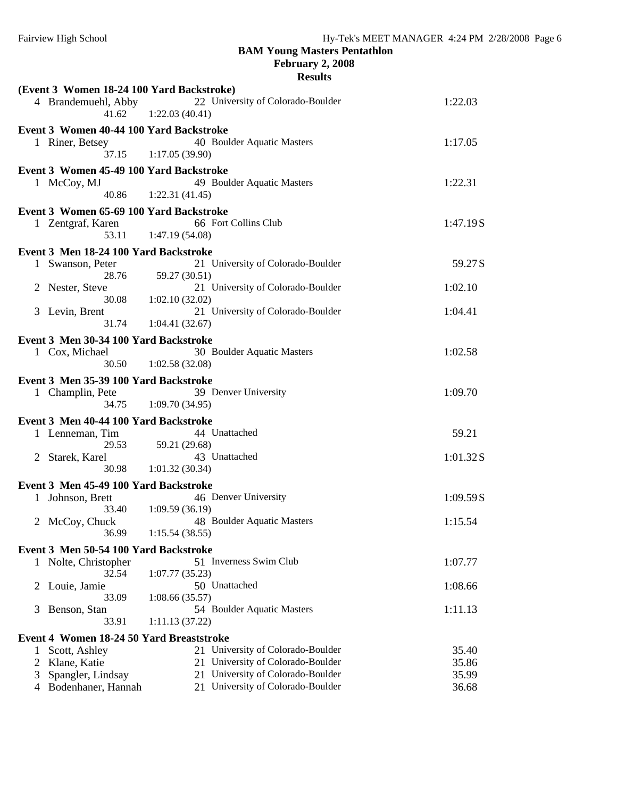**February 2, 2008**

|                | (Event 3 Women 18-24 100 Yard Backstroke) |                                                                               |                |
|----------------|-------------------------------------------|-------------------------------------------------------------------------------|----------------|
|                | 4 Brandemuehl, Abby                       | 22 University of Colorado-Boulder                                             | 1:22.03        |
|                | 41.62                                     | 1:22.03(40.41)                                                                |                |
|                | Event 3 Women 40-44 100 Yard Backstroke   |                                                                               |                |
|                |                                           | 40 Boulder Aquatic Masters                                                    |                |
|                | 1 Riner, Betsey<br>37.15                  | 1:17.05(39.90)                                                                | 1:17.05        |
|                |                                           |                                                                               |                |
|                | Event 3 Women 45-49 100 Yard Backstroke   |                                                                               |                |
|                | 1 McCoy, MJ                               | 49 Boulder Aquatic Masters                                                    | 1:22.31        |
|                | 40.86                                     | 1:22.31(41.45)                                                                |                |
|                | Event 3 Women 65-69 100 Yard Backstroke   |                                                                               |                |
|                | 1 Zentgraf, Karen                         | 66 Fort Collins Club                                                          | 1:47.19S       |
|                | 53.11                                     | 1:47.19(54.08)                                                                |                |
|                |                                           |                                                                               |                |
|                | Event 3 Men 18-24 100 Yard Backstroke     |                                                                               |                |
|                | 1 Swanson, Peter<br>28.76                 | 21 University of Colorado-Boulder                                             | 59.27S         |
|                |                                           | 59.27 (30.51)<br>21 University of Colorado-Boulder                            |                |
|                | 2 Nester, Steve                           |                                                                               | 1:02.10        |
|                | 30.08                                     | 1:02.10(32.02)<br>21 University of Colorado-Boulder                           |                |
|                | 3 Levin, Brent                            |                                                                               | 1:04.41        |
|                | 31.74                                     | 1:04.41(32.67)                                                                |                |
|                | Event 3 Men 30-34 100 Yard Backstroke     |                                                                               |                |
|                | 1 Cox, Michael                            | 30 Boulder Aquatic Masters                                                    | 1:02.58        |
|                | 30.50                                     | 1:02.58(32.08)                                                                |                |
|                | Event 3 Men 35-39 100 Yard Backstroke     |                                                                               |                |
|                | 1 Champlin, Pete                          | 39 Denver University                                                          | 1:09.70        |
|                | 34.75                                     | 1:09.70(34.95)                                                                |                |
|                |                                           |                                                                               |                |
|                | Event 3 Men 40-44 100 Yard Backstroke     |                                                                               |                |
|                | 1 Lenneman, Tim                           | 44 Unattached                                                                 | 59.21          |
|                | 29.53                                     | 59.21 (29.68)                                                                 |                |
|                | 2 Starek, Karel                           | 43 Unattached                                                                 | 1:01.32S       |
|                | 30.98                                     | 1:01.32(30.34)                                                                |                |
|                | Event 3 Men 45-49 100 Yard Backstroke     |                                                                               |                |
|                | 1 Johnson, Brett                          | 46 Denver University                                                          | 1:09.59 S      |
|                | 33.40                                     | 1:09.59(36.19)                                                                |                |
|                | 2 McCoy, Chuck                            | 48 Boulder Aquatic Masters                                                    | 1:15.54        |
|                | 36.99                                     | 1:15.54(38.55)                                                                |                |
|                | Event 3 Men 50-54 100 Yard Backstroke     |                                                                               |                |
|                |                                           |                                                                               |                |
|                |                                           |                                                                               |                |
|                | 1 Nolte, Christopher                      | 51 Inverness Swim Club                                                        | 1:07.77        |
|                | 32.54                                     | 1:07.77(35.23)                                                                |                |
| 2              | Louie, Jamie                              | 50 Unattached                                                                 | 1:08.66        |
|                | 33.09                                     | 1:08.66(35.57)                                                                |                |
| 3              | Benson, Stan                              | 54 Boulder Aquatic Masters                                                    | 1:11.13        |
|                | 33.91                                     | 1:11.13(37.22)                                                                |                |
|                | Event 4 Women 18-24 50 Yard Breaststroke  |                                                                               |                |
|                | Scott, Ashley                             | 21 University of Colorado-Boulder                                             | 35.40          |
| $\overline{c}$ | Klane, Katie                              | University of Colorado-Boulder<br>21.                                         | 35.86          |
| 3<br>4         | Spangler, Lindsay<br>Bodenhaner, Hannah   | University of Colorado-Boulder<br>21<br>University of Colorado-Boulder<br>21. | 35.99<br>36.68 |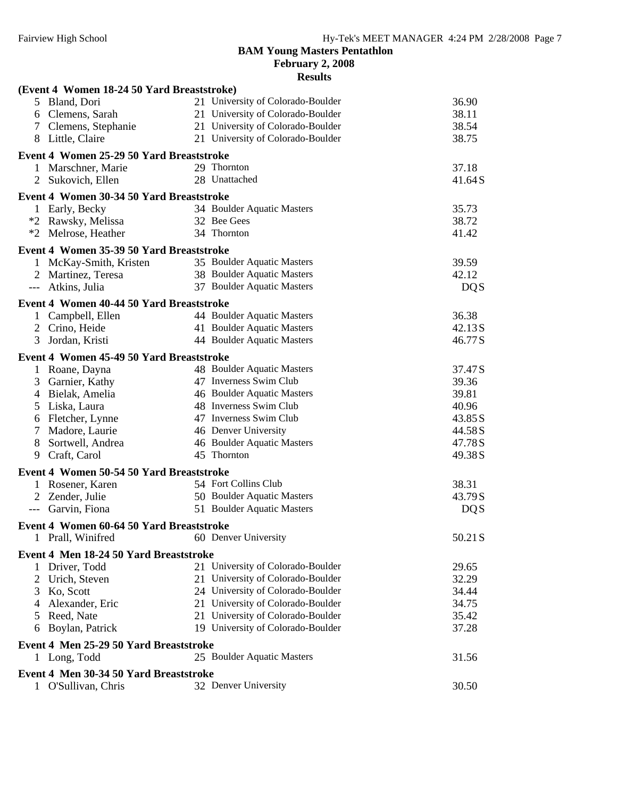**February 2, 2008**

|   | (Event 4 Women 18-24 50 Yard Breaststroke)                    |                                   |            |
|---|---------------------------------------------------------------|-----------------------------------|------------|
|   | 5 Bland, Dori                                                 | 21 University of Colorado-Boulder | 36.90      |
|   | 6 Clemens, Sarah                                              | 21 University of Colorado-Boulder | 38.11      |
|   | 7 Clemens, Stephanie                                          | 21 University of Colorado-Boulder | 38.54      |
|   | 8 Little, Claire                                              | 21 University of Colorado-Boulder | 38.75      |
|   | Event 4 Women 25-29 50 Yard Breaststroke                      |                                   |            |
|   | 1 Marschner, Marie                                            | 29 Thornton                       | 37.18      |
| 2 | Sukovich, Ellen                                               | 28 Unattached                     | 41.64S     |
|   | Event 4 Women 30-34 50 Yard Breaststroke                      |                                   |            |
|   | 1 Early, Becky                                                | 34 Boulder Aquatic Masters        | 35.73      |
|   | *2 Rawsky, Melissa                                            | 32 Bee Gees                       | 38.72      |
|   | *2 Melrose, Heather                                           | 34 Thornton                       | 41.42      |
|   | Event 4 Women 35-39 50 Yard Breaststroke                      |                                   |            |
|   | 1 McKay-Smith, Kristen                                        | 35 Boulder Aquatic Masters        | 39.59      |
| 2 | Martinez, Teresa                                              | 38 Boulder Aquatic Masters        | 42.12      |
|   | Atkins, Julia                                                 | 37 Boulder Aquatic Masters        | <b>DQS</b> |
|   |                                                               |                                   |            |
|   | Event 4 Women 40-44 50 Yard Breaststroke<br>1 Campbell, Ellen | 44 Boulder Aquatic Masters        | 36.38      |
|   | 2 Crino, Heide                                                | 41 Boulder Aquatic Masters        | 42.13S     |
| 3 | Jordan, Kristi                                                | 44 Boulder Aquatic Masters        | 46.77S     |
|   |                                                               |                                   |            |
|   | Event 4 Women 45-49 50 Yard Breaststroke                      |                                   |            |
|   | 1 Roane, Dayna                                                | 48 Boulder Aquatic Masters        | 37.47S     |
|   | 3 Garnier, Kathy                                              | 47 Inverness Swim Club            | 39.36      |
|   | 4 Bielak, Amelia                                              | 46 Boulder Aquatic Masters        | 39.81      |
|   | 5 Liska, Laura                                                | 48 Inverness Swim Club            | 40.96      |
|   | 6 Fletcher, Lynne                                             | 47 Inverness Swim Club            | 43.85S     |
|   | 7 Madore, Laurie                                              | 46 Denver University              | 44.58S     |
| 8 | Sortwell, Andrea                                              | 46 Boulder Aquatic Masters        | 47.78S     |
| 9 | Craft, Carol                                                  | 45 Thornton                       | 49.38S     |
|   | Event 4 Women 50-54 50 Yard Breaststroke                      |                                   |            |
|   | 1 Rosener, Karen                                              | 54 Fort Collins Club              | 38.31      |
|   | 2 Zender, Julie                                               | 50 Boulder Aquatic Masters        | 43.79S     |
|   | --- Garvin, Fiona                                             | 51 Boulder Aquatic Masters        | <b>DQS</b> |
|   | Event 4 Women 60-64 50 Yard Breaststroke                      |                                   |            |
| 1 | Prall, Winifred                                               | 60 Denver University              | 50.21S     |
|   | Event 4 Men 18-24 50 Yard Breaststroke                        |                                   |            |
|   | 1 Driver, Todd                                                | 21 University of Colorado-Boulder | 29.65      |
| 2 | Urich, Steven                                                 | 21 University of Colorado-Boulder | 32.29      |
| 3 | Ko, Scott                                                     | 24 University of Colorado-Boulder | 34.44      |
| 4 | Alexander, Eric                                               | 21 University of Colorado-Boulder | 34.75      |
| 5 | Reed, Nate                                                    | 21 University of Colorado-Boulder | 35.42      |
| 6 | Boylan, Patrick                                               | 19 University of Colorado-Boulder | 37.28      |
|   | Event 4 Men 25-29 50 Yard Breaststroke                        |                                   |            |
|   | 1 Long, Todd                                                  | 25 Boulder Aquatic Masters        | 31.56      |
|   | Event 4 Men 30-34 50 Yard Breaststroke                        |                                   |            |
|   | 1 O'Sullivan, Chris                                           | 32 Denver University              | 30.50      |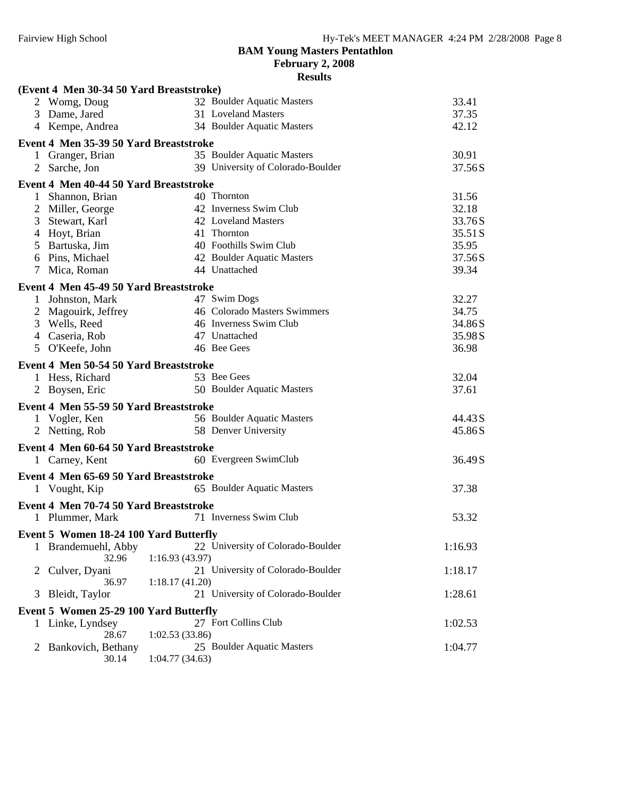**February 2, 2008**

|                 | (Event 4 Men 30-34 50 Yard Breaststroke) |                |                                   |         |
|-----------------|------------------------------------------|----------------|-----------------------------------|---------|
|                 | 2 Womg, Doug                             |                | 32 Boulder Aquatic Masters        | 33.41   |
|                 | 3 Dame, Jared                            |                | 31 Loveland Masters               | 37.35   |
|                 | 4 Kempe, Andrea                          |                | 34 Boulder Aquatic Masters        | 42.12   |
|                 | Event 4 Men 35-39 50 Yard Breaststroke   |                |                                   |         |
|                 | 1 Granger, Brian                         |                | 35 Boulder Aquatic Masters        | 30.91   |
|                 | 2 Sarche, Jon                            |                | 39 University of Colorado-Boulder | 37.56S  |
|                 | Event 4 Men 40-44 50 Yard Breaststroke   |                |                                   |         |
|                 | 1 Shannon, Brian                         |                | 40 Thornton                       | 31.56   |
| 2               | Miller, George                           |                | 42 Inverness Swim Club            | 32.18   |
| 3               | Stewart, Karl                            |                | 42 Loveland Masters               | 33.76S  |
| 4               | Hoyt, Brian                              |                | 41 Thornton                       | 35.51 S |
|                 | 5 Bartuska, Jim                          |                | 40 Foothills Swim Club            | 35.95   |
|                 | 6 Pins, Michael                          |                | 42 Boulder Aquatic Masters        | 37.56S  |
| $7\phantom{.0}$ | Mica, Roman                              |                | 44 Unattached                     | 39.34   |
|                 |                                          |                |                                   |         |
|                 | Event 4 Men 45-49 50 Yard Breaststroke   |                |                                   |         |
|                 | 1 Johnston, Mark                         |                | 47 Swim Dogs                      | 32.27   |
|                 | 2 Magouirk, Jeffrey                      |                | 46 Colorado Masters Swimmers      | 34.75   |
|                 | 3 Wells, Reed                            |                | 46 Inverness Swim Club            | 34.86S  |
|                 | 4 Caseria, Rob                           |                | 47 Unattached                     | 35.98S  |
|                 | 5 O'Keefe, John                          |                | 46 Bee Gees                       | 36.98   |
|                 | Event 4 Men 50-54 50 Yard Breaststroke   |                |                                   |         |
|                 | 1 Hess, Richard                          |                | 53 Bee Gees                       | 32.04   |
|                 | 2 Boysen, Eric                           |                | 50 Boulder Aquatic Masters        | 37.61   |
|                 |                                          |                |                                   |         |
|                 | Event 4 Men 55-59 50 Yard Breaststroke   |                | 56 Boulder Aquatic Masters        | 44.43 S |
|                 | 1 Vogler, Ken                            |                | 58 Denver University              |         |
|                 | 2 Netting, Rob                           |                |                                   | 45.86S  |
|                 | Event 4 Men 60-64 50 Yard Breaststroke   |                |                                   |         |
|                 | 1 Carney, Kent                           |                | 60 Evergreen SwimClub             | 36.49S  |
|                 | Event 4 Men 65-69 50 Yard Breaststroke   |                |                                   |         |
|                 | 1 Vought, Kip                            |                | 65 Boulder Aquatic Masters        | 37.38   |
|                 | Event 4 Men 70-74 50 Yard Breaststroke   |                |                                   |         |
|                 |                                          |                | 71 Inverness Swim Club            | 53.32   |
|                 | 1 Plummer, Mark                          |                |                                   |         |
|                 | Event 5 Women 18-24 100 Yard Butterfly   |                |                                   |         |
|                 | Brandemuehl, Abby                        |                | 22 University of Colorado-Boulder | 1:16.93 |
|                 | 32.96                                    | 1:16.93(43.97) |                                   |         |
| 2               | Culver, Dyani                            |                | 21 University of Colorado-Boulder | 1:18.17 |
|                 | 36.97                                    | 1:18.17(41.20) |                                   |         |
| 3               | Bleidt, Taylor                           |                | 21 University of Colorado-Boulder | 1:28.61 |
|                 | Event 5 Women 25-29 100 Yard Butterfly   |                |                                   |         |
|                 | Linke, Lyndsey                           |                | 27 Fort Collins Club              | 1:02.53 |
|                 | 28.67                                    | 1:02.53(33.86) |                                   |         |
|                 | Bankovich, Bethany                       |                | 25 Boulder Aquatic Masters        | 1:04.77 |
|                 | 30.14                                    | 1:04.77(34.63) |                                   |         |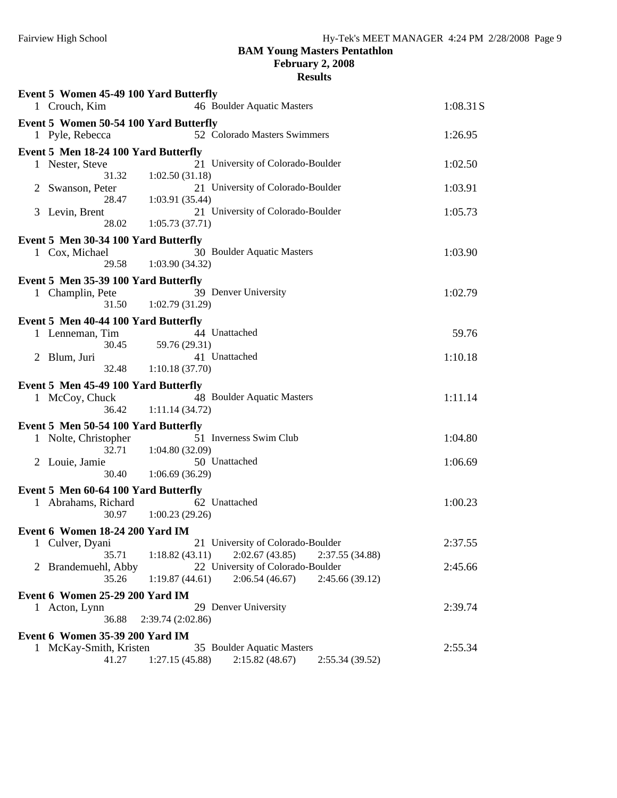## **BAM Young Masters Pentathlon February 2, 2008**

|   | Event 5 Women 45-49 100 Yard Butterfly |                                                                                          |           |
|---|----------------------------------------|------------------------------------------------------------------------------------------|-----------|
|   | 1 Crouch, Kim                          | 46 Boulder Aquatic Masters                                                               | 1:08.31 S |
|   | Event 5 Women 50-54 100 Yard Butterfly |                                                                                          |           |
|   | 1 Pyle, Rebecca                        | 52 Colorado Masters Swimmers                                                             | 1:26.95   |
|   | Event 5 Men 18-24 100 Yard Butterfly   |                                                                                          |           |
|   | 1 Nester, Steve<br>31.32               | 21 University of Colorado-Boulder<br>1:02.50(31.18)                                      | 1:02.50   |
| 2 | Swanson, Peter                         | 21 University of Colorado-Boulder                                                        | 1:03.91   |
|   | 28.47                                  | 1:03.91(35.44)                                                                           |           |
|   | 3 Levin, Brent                         | 21 University of Colorado-Boulder                                                        | 1:05.73   |
|   | 28.02                                  | 1:05.73(37.71)                                                                           |           |
|   | Event 5 Men 30-34 100 Yard Butterfly   |                                                                                          |           |
|   | 1 Cox, Michael<br>29.58                | 30 Boulder Aquatic Masters<br>1:03.90(34.32)                                             | 1:03.90   |
|   | Event 5 Men 35-39 100 Yard Butterfly   |                                                                                          |           |
|   | 1 Champlin, Pete                       | 39 Denver University                                                                     | 1:02.79   |
|   | 31.50                                  | 1:02.79(31.29)                                                                           |           |
|   | Event 5 Men 40-44 100 Yard Butterfly   |                                                                                          |           |
|   | 1 Lenneman, Tim                        | 44 Unattached                                                                            | 59.76     |
| 2 | 30.45<br>Blum, Juri                    | 59.76 (29.31)<br>41 Unattached                                                           | 1:10.18   |
|   | 32.48                                  | 1:10.18(37.70)                                                                           |           |
|   | Event 5 Men 45-49 100 Yard Butterfly   |                                                                                          |           |
|   | 1 McCoy, Chuck                         | 48 Boulder Aquatic Masters                                                               | 1:11.14   |
|   | 36.42                                  | 1:11.14(34.72)                                                                           |           |
|   | Event 5 Men 50-54 100 Yard Butterfly   |                                                                                          |           |
|   | 1 Nolte, Christopher                   | 51 Inverness Swim Club                                                                   | 1:04.80   |
|   | 32.71<br>2 Louie, Jamie                | 1:04.80(32.09)<br>50 Unattached                                                          | 1:06.69   |
|   | 30.40                                  | 1:06.69(36.29)                                                                           |           |
|   | Event 5 Men 60-64 100 Yard Butterfly   |                                                                                          |           |
|   | 1 Abrahams, Richard                    | 62 Unattached                                                                            | 1:00.23   |
|   | 30.97                                  | 1:00.23(29.26)                                                                           |           |
|   | Event 6 Women 18-24 200 Yard IM        |                                                                                          |           |
|   | 1 Culver, Dyani<br>35.71               | 21 University of Colorado-Boulder<br>2:02.67(43.85)<br>1:18.82(43.11)<br>2:37.55 (34.88) | 2:37.55   |
|   | 2 Brandemuehl, Abby                    | 22 University of Colorado-Boulder                                                        | 2:45.66   |
|   | 35.26                                  | 2:06.54(46.67)<br>1:19.87(44.61)<br>2:45.66(39.12)                                       |           |
|   | Event 6 Women 25-29 200 Yard IM        |                                                                                          |           |
|   | 1 Acton, Lynn                          | 29 Denver University                                                                     | 2:39.74   |
|   | 36.88                                  | 2:39.74 (2:02.86)                                                                        |           |
|   | Event 6 Women 35-39 200 Yard IM        | 35 Boulder Aquatic Masters                                                               | 2:55.34   |
|   | 1 McKay-Smith, Kristen<br>41.27        | 1:27.15(45.88)<br>2:15.82(48.67)<br>2:55.34 (39.52)                                      |           |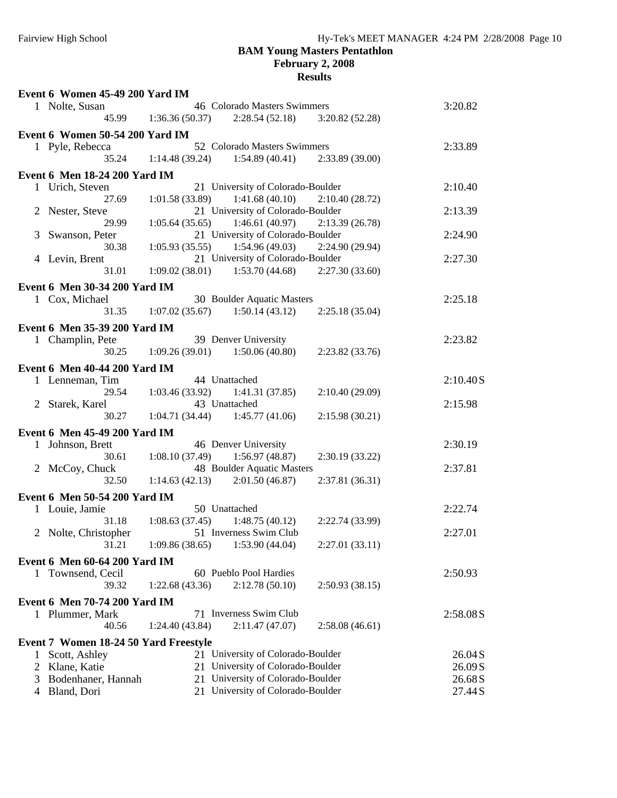#### **BAM Young Masters Pentathlon February 2, 2008 Results**

| Event 6 Women 45-49 200 Yard IM       |                                                                       |          |
|---------------------------------------|-----------------------------------------------------------------------|----------|
| 1 Nolte, Susan                        | 46 Colorado Masters Swimmers                                          | 3:20.82  |
| 45.99                                 | 1:36.36(50.37)<br>2:28.54(52.18)<br>3:20.82(52.28)                    |          |
| Event 6 Women 50-54 200 Yard IM       |                                                                       |          |
| 1 Pyle, Rebecca                       | 52 Colorado Masters Swimmers                                          | 2:33.89  |
| 35.24                                 | 1:14.48(39.24)<br>1:54.89(40.41)<br>2:33.89(39.00)                    |          |
|                                       |                                                                       |          |
| <b>Event 6 Men 18-24 200 Yard IM</b>  | 21 University of Colorado-Boulder                                     | 2:10.40  |
| 1 Urich, Steven<br>27.69              | 1:41.68(40.10)                                                        |          |
|                                       | 1:01.58(33.89)<br>2:10.40(28.72)<br>21 University of Colorado-Boulder | 2:13.39  |
| 2 Nester, Steve<br>29.99              | 1:46.61(40.97)<br>1:05.64(35.65)<br>2:13.39(26.78)                    |          |
|                                       | 21 University of Colorado-Boulder                                     |          |
| Swanson, Peter<br>3<br>30.38          | 1:05.93(35.55)<br>1:54.96(49.03)<br>2:24.90 (29.94)                   | 2:24.90  |
| 4 Levin, Brent                        | 21 University of Colorado-Boulder                                     | 2:27.30  |
| 31.01                                 | 1:09.02(38.01)<br>1:53.70(44.68)<br>2:27.30(33.60)                    |          |
|                                       |                                                                       |          |
| Event 6 Men 30-34 200 Yard IM         |                                                                       |          |
| 1 Cox, Michael                        | 30 Boulder Aquatic Masters                                            | 2:25.18  |
| 31.35                                 | 1:07.02(35.67)<br>1:50.14(43.12)<br>2:25.18(35.04)                    |          |
| Event 6 Men 35-39 200 Yard IM         |                                                                       |          |
| 1 Champlin, Pete                      | 39 Denver University                                                  | 2:23.82  |
| 30.25                                 | 1:09.26(39.01)<br>1:50.06(40.80)<br>2:23.82(33.76)                    |          |
| Event 6 Men 40-44 200 Yard IM         |                                                                       |          |
| 1 Lenneman, Tim                       | 44 Unattached                                                         | 2:10.40S |
| 29.54                                 | 1:03.46(33.92)<br>1:41.31(37.85)<br>2:10.40(29.09)                    |          |
| 2 Starek, Karel                       | 43 Unattached                                                         | 2:15.98  |
| 30.27                                 | 1:04.71(34.44)<br>1:45.77(41.06)<br>2:15.98(30.21)                    |          |
|                                       |                                                                       |          |
| Event 6 Men 45-49 200 Yard IM         |                                                                       |          |
| 1 Johnson, Brett                      | 46 Denver University                                                  | 2:30.19  |
| 30.61                                 | 1:08.10(37.49)<br>1:56.97(48.87)<br>2:30.19(33.22)                    |          |
| 2 McCoy, Chuck                        | 48 Boulder Aquatic Masters                                            | 2:37.81  |
| 32.50                                 | 1:14.63(42.13)<br>2:01.50(46.87)<br>2:37.81 (36.31)                   |          |
| Event 6 Men 50-54 200 Yard IM         |                                                                       |          |
| 1 Louie, Jamie                        | 50 Unattached                                                         | 2:22.74  |
| 31.18                                 | 1:08.63(37.45)<br>1:48.75(40.12)<br>2:22.74 (33.99)                   |          |
| 2 Nolte, Christopher                  | 51 Inverness Swim Club                                                | 2:27.01  |
| 31.21                                 | 1:09.86(38.65)<br>1:53.90(44.04)<br>2:27.01(33.11)                    |          |
| Event 6 Men 60-64 200 Yard IM         |                                                                       |          |
| 1 Townsend, Cecil                     | 60 Pueblo Pool Hardies                                                | 2:50.93  |
| 39.32                                 | 1:22.68(43.36)<br>2:12.78(50.10)<br>2:50.93(38.15)                    |          |
| <b>Event 6 Men 70-74 200 Yard IM</b>  |                                                                       |          |
|                                       | 71 Inverness Swim Club                                                | 2:58.08S |
| 1 Plummer, Mark<br>40.56              | 1:24.40(43.84)<br>2:11.47(47.07)<br>2:58.08(46.61)                    |          |
|                                       |                                                                       |          |
| Event 7 Women 18-24 50 Yard Freestyle |                                                                       |          |
| Scott, Ashley                         | 21 University of Colorado-Boulder                                     | 26.04S   |
| Klane, Katie<br>2                     | University of Colorado-Boulder<br>21                                  | 26.09S   |
| Bodenhaner, Hannah<br>3               | University of Colorado-Boulder<br>21                                  | 26.68S   |
| Bland, Dori<br>4                      | University of Colorado-Boulder<br>21                                  | 27.44S   |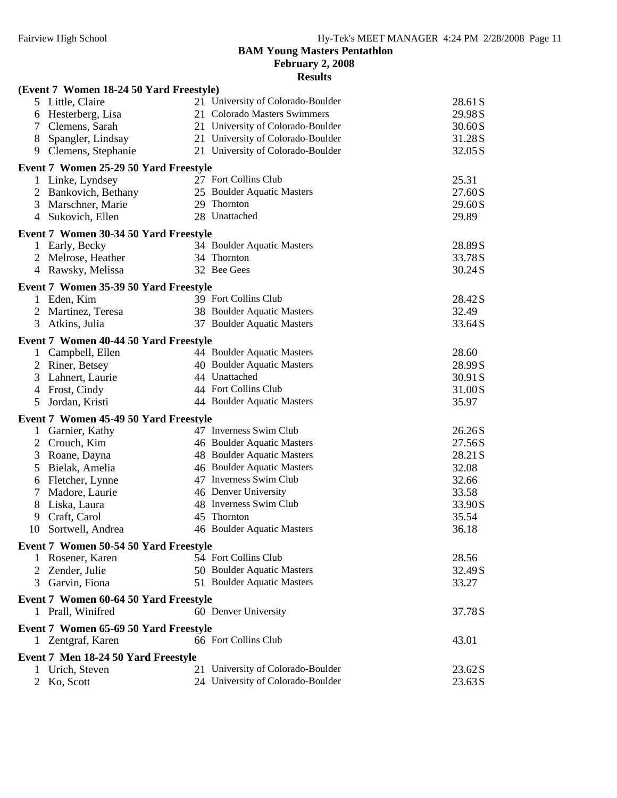**February 2, 2008**

|                | (Event 7 Women 18-24 50 Yard Freestyle) |                                   |         |
|----------------|-----------------------------------------|-----------------------------------|---------|
|                | 5 Little, Claire                        | 21 University of Colorado-Boulder | 28.61 S |
| 6              | Hesterberg, Lisa                        | 21 Colorado Masters Swimmers      | 29.98S  |
|                | Clemens, Sarah                          | 21 University of Colorado-Boulder | 30.60S  |
| 8              | Spangler, Lindsay                       | 21 University of Colorado-Boulder | 31.28S  |
| 9              | Clemens, Stephanie                      | 21 University of Colorado-Boulder | 32.05 S |
|                | Event 7 Women 25-29 50 Yard Freestyle   |                                   |         |
|                | 1 Linke, Lyndsey                        | 27 Fort Collins Club              | 25.31   |
|                | Bankovich, Bethany                      | 25 Boulder Aquatic Masters        | 27.60S  |
| 3              | Marschner, Marie                        | 29 Thornton                       | 29.60S  |
| 4              | Sukovich, Ellen                         | 28 Unattached                     | 29.89   |
|                | Event 7 Women 30-34 50 Yard Freestyle   |                                   |         |
|                | Early, Becky                            | 34 Boulder Aquatic Masters        | 28.89S  |
|                | Melrose, Heather                        | 34 Thornton                       | 33.78S  |
|                | 4 Rawsky, Melissa                       | 32 Bee Gees                       | 30.24S  |
|                | Event 7 Women 35-39 50 Yard Freestyle   |                                   |         |
|                | 1 Eden, Kim                             | 39 Fort Collins Club              | 28.42S  |
| 2              | Martinez, Teresa                        | 38 Boulder Aquatic Masters        | 32.49   |
| 3              | Atkins, Julia                           | 37 Boulder Aquatic Masters        | 33.64S  |
|                | Event 7 Women 40-44 50 Yard Freestyle   |                                   |         |
|                | 1 Campbell, Ellen                       | 44 Boulder Aquatic Masters        | 28.60   |
| 2              | Riner, Betsey                           | 40 Boulder Aquatic Masters        | 28.99S  |
| 3              | Lahnert, Laurie                         | 44 Unattached                     | 30.91 S |
| 4              | Frost, Cindy                            | 44 Fort Collins Club              | 31.00S  |
| 5              | Jordan, Kristi                          | 44 Boulder Aquatic Masters        | 35.97   |
|                | Event 7 Women 45-49 50 Yard Freestyle   |                                   |         |
| $\mathbf{1}$   | Garnier, Kathy                          | 47 Inverness Swim Club            | 26.26S  |
| $\overline{2}$ | Crouch, Kim                             | 46 Boulder Aquatic Masters        | 27.56S  |
| 3              | Roane, Dayna                            | 48 Boulder Aquatic Masters        | 28.21 S |
| 5              | Bielak, Amelia                          | 46 Boulder Aquatic Masters        | 32.08   |
| 6              | Fletcher, Lynne                         | 47 Inverness Swim Club            | 32.66   |
| 7              | Madore, Laurie                          | 46 Denver University              | 33.58   |
| 8              | Liska, Laura                            | 48 Inverness Swim Club            | 33.90S  |
| 9              | Craft, Carol                            | 45 Thornton                       | 35.54   |
| 10             | Sortwell, Andrea                        | 46 Boulder Aquatic Masters        | 36.18   |
|                | Event 7 Women 50-54 50 Yard Freestyle   |                                   |         |
|                | 1 Rosener, Karen                        | 54 Fort Collins Club              | 28.56   |
| 2              | Zender, Julie                           | 50 Boulder Aquatic Masters        | 32.49S  |
|                | 3 Garvin, Fiona                         | 51 Boulder Aquatic Masters        | 33.27   |
|                | Event 7 Women 60-64 50 Yard Freestyle   |                                   |         |
|                | 1 Prall, Winifred                       | 60 Denver University              | 37.78S  |
|                | Event 7 Women 65-69 50 Yard Freestyle   |                                   |         |
|                | 1 Zentgraf, Karen                       | 66 Fort Collins Club              | 43.01   |
|                | Event 7 Men 18-24 50 Yard Freestyle     |                                   |         |
|                | Urich, Steven                           | 21 University of Colorado-Boulder | 23.62S  |
|                | Ko, Scott                               | 24 University of Colorado-Boulder | 23.63S  |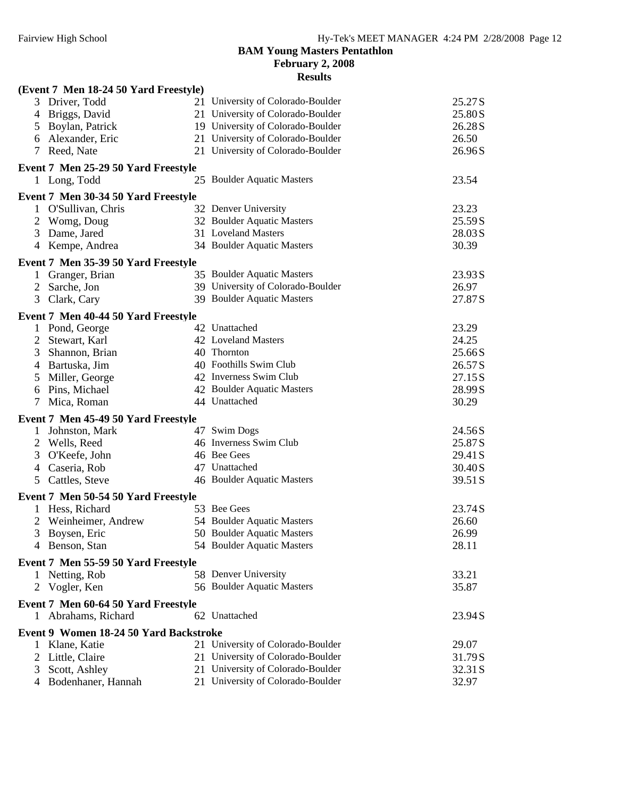## **BAM Young Masters Pentathlon February 2, 2008**

|                | (Event 7 Men 18-24 50 Yard Freestyle)  |                                   |         |
|----------------|----------------------------------------|-----------------------------------|---------|
|                | 3 Driver, Todd                         | 21 University of Colorado-Boulder | 25.27S  |
| 4              | Briggs, David                          | 21 University of Colorado-Boulder | 25.80S  |
| 5              | Boylan, Patrick                        | 19 University of Colorado-Boulder | 26.28S  |
| 6              | Alexander, Eric                        | 21 University of Colorado-Boulder | 26.50   |
| 7              | Reed, Nate                             | 21 University of Colorado-Boulder | 26.96S  |
|                | Event 7 Men 25-29 50 Yard Freestyle    |                                   |         |
|                | 1 Long, Todd                           | 25 Boulder Aquatic Masters        | 23.54   |
|                | Event 7 Men 30-34 50 Yard Freestyle    |                                   |         |
|                | 1 O'Sullivan, Chris                    | 32 Denver University              | 23.23   |
|                | 2 Womg, Doug                           | 32 Boulder Aquatic Masters        | 25.59S  |
|                | 3 Dame, Jared                          | 31 Loveland Masters               | 28.03S  |
|                | 4 Kempe, Andrea                        | 34 Boulder Aquatic Masters        | 30.39   |
|                | Event 7 Men 35-39 50 Yard Freestyle    |                                   |         |
| 1              | Granger, Brian                         | 35 Boulder Aquatic Masters        | 23.93S  |
| $\overline{2}$ | Sarche, Jon                            | 39 University of Colorado-Boulder | 26.97   |
| 3              | Clark, Cary                            | 39 Boulder Aquatic Masters        | 27.87S  |
|                | Event 7 Men 40-44 50 Yard Freestyle    |                                   |         |
|                | 1 Pond, George                         | 42 Unattached                     | 23.29   |
| $\overline{2}$ | Stewart, Karl                          | 42 Loveland Masters               | 24.25   |
| 3              | Shannon, Brian                         | 40 Thornton                       | 25.66S  |
| 4              | Bartuska, Jim                          | 40 Foothills Swim Club            | 26.57S  |
| 5              | Miller, George                         | 42 Inverness Swim Club            | 27.15S  |
| 6              | Pins, Michael                          | 42 Boulder Aquatic Masters        | 28.99S  |
| $\tau$         | Mica, Roman                            | 44 Unattached                     | 30.29   |
|                | Event 7 Men 45-49 50 Yard Freestyle    |                                   |         |
|                | 1 Johnston, Mark                       | 47 Swim Dogs                      | 24.56S  |
|                | 2 Wells, Reed                          | 46 Inverness Swim Club            | 25.87S  |
| 3              | O'Keefe, John                          | 46 Bee Gees                       | 29.41 S |
| $\overline{4}$ | Caseria, Rob                           | 47 Unattached                     | 30.40S  |
| 5 <sup>5</sup> | Cattles, Steve                         | 46 Boulder Aquatic Masters        | 39.51 S |
|                | Event 7 Men 50-54 50 Yard Freestyle    |                                   |         |
|                | 1 Hess, Richard                        | 53 Bee Gees                       | 23.74S  |
|                | Weinheimer, Andrew                     | 54 Boulder Aquatic Masters        | 26.60   |
|                | 3 Boysen, Eric                         | 50 Boulder Aquatic Masters        | 26.99   |
|                | 4 Benson, Stan                         | 54 Boulder Aquatic Masters        | 28.11   |
|                | Event 7 Men 55-59 50 Yard Freestyle    |                                   |         |
|                | 1 Netting, Rob                         | 58 Denver University              | 33.21   |
|                | 2 Vogler, Ken                          | 56 Boulder Aquatic Masters        | 35.87   |
|                | Event 7 Men 60-64 50 Yard Freestyle    |                                   |         |
|                | 1 Abrahams, Richard                    | 62 Unattached                     | 23.94S  |
|                | Event 9 Women 18-24 50 Yard Backstroke |                                   |         |
|                | 1 Klane, Katie                         | 21 University of Colorado-Boulder | 29.07   |
|                | 2 Little, Claire                       | 21 University of Colorado-Boulder | 31.79S  |
| 3              | Scott, Ashley                          | 21 University of Colorado-Boulder | 32.31 S |
|                | 4 Bodenhaner, Hannah                   | 21 University of Colorado-Boulder | 32.97   |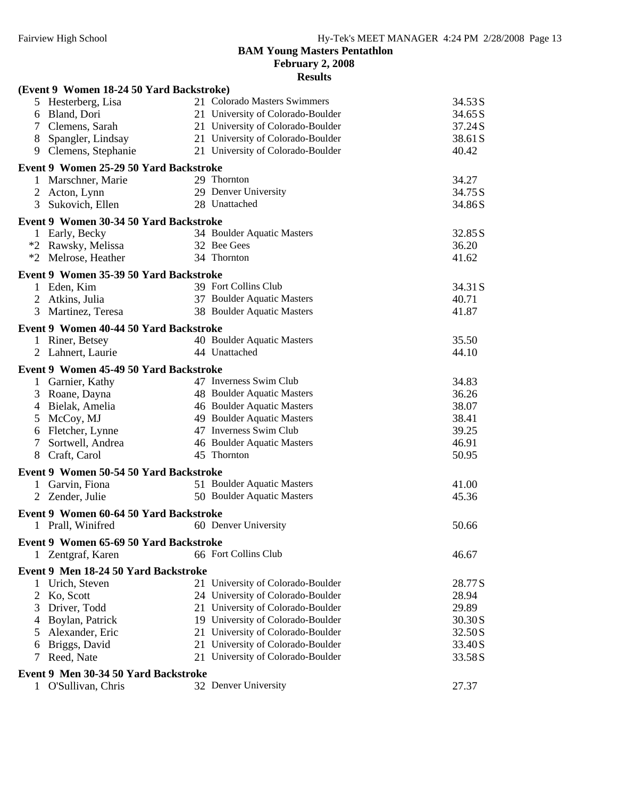**February 2, 2008**

|   | (Event 9 Women 18-24 50 Yard Backstroke) |                                   |         |
|---|------------------------------------------|-----------------------------------|---------|
|   | 5 Hesterberg, Lisa                       | 21 Colorado Masters Swimmers      | 34.53S  |
| 6 | Bland, Dori                              | 21 University of Colorado-Boulder | 34.65 S |
|   | 7 Clemens, Sarah                         | 21 University of Colorado-Boulder | 37.24S  |
| 8 | Spangler, Lindsay                        | 21 University of Colorado-Boulder | 38.61 S |
|   | 9 Clemens, Stephanie                     | 21 University of Colorado-Boulder | 40.42   |
|   | Event 9 Women 25-29 50 Yard Backstroke   |                                   |         |
|   | 1 Marschner, Marie                       | 29 Thornton                       | 34.27   |
|   | 2 Acton, Lynn                            | 29 Denver University              | 34.75S  |
| 3 | Sukovich, Ellen                          | 28 Unattached                     | 34.86S  |
|   | Event 9 Women 30-34 50 Yard Backstroke   |                                   |         |
|   | 1 Early, Becky                           | 34 Boulder Aquatic Masters        | 32.85 S |
|   | *2 Rawsky, Melissa                       | 32 Bee Gees                       | 36.20   |
|   | *2 Melrose, Heather                      | 34 Thornton                       | 41.62   |
|   | Event 9 Women 35-39 50 Yard Backstroke   |                                   |         |
|   | Eden, Kim                                | 39 Fort Collins Club              | 34.31 S |
|   | 2 Atkins, Julia                          | 37 Boulder Aquatic Masters        | 40.71   |
| 3 | Martinez, Teresa                         | 38 Boulder Aquatic Masters        | 41.87   |
|   | Event 9 Women 40-44 50 Yard Backstroke   |                                   |         |
|   | 1 Riner, Betsey                          | 40 Boulder Aquatic Masters        | 35.50   |
|   | 2 Lahnert, Laurie                        | 44 Unattached                     | 44.10   |
|   | Event 9 Women 45-49 50 Yard Backstroke   |                                   |         |
|   | 1 Garnier, Kathy                         | 47 Inverness Swim Club            | 34.83   |
|   | 3 Roane, Dayna                           | 48 Boulder Aquatic Masters        | 36.26   |
|   | 4 Bielak, Amelia                         | 46 Boulder Aquatic Masters        | 38.07   |
|   | 5 McCoy, MJ                              | 49 Boulder Aquatic Masters        | 38.41   |
|   | 6 Fletcher, Lynne                        | 47 Inverness Swim Club            | 39.25   |
| 7 | Sortwell, Andrea                         | 46 Boulder Aquatic Masters        | 46.91   |
| 8 | Craft, Carol                             | 45 Thornton                       | 50.95   |
|   | Event 9 Women 50-54 50 Yard Backstroke   |                                   |         |
|   | 1 Garvin, Fiona                          | 51 Boulder Aquatic Masters        | 41.00   |
|   | 2 Zender, Julie                          | 50 Boulder Aquatic Masters        | 45.36   |
|   | Event 9 Women 60-64 50 Yard Backstroke   |                                   |         |
|   | 1 Prall, Winifred                        | 60 Denver University              | 50.66   |
|   | Event 9 Women 65-69 50 Yard Backstroke   |                                   |         |
|   | 1 Zentgraf, Karen                        | 66 Fort Collins Club              | 46.67   |
|   | Event 9 Men 18-24 50 Yard Backstroke     |                                   |         |
|   | Urich, Steven                            | 21 University of Colorado-Boulder | 28.77S  |
| 2 | Ko, Scott                                | 24 University of Colorado-Boulder | 28.94   |
| 3 | Driver, Todd                             | 21 University of Colorado-Boulder | 29.89   |
|   | Boylan, Patrick                          | 19 University of Colorado-Boulder | 30.30S  |
|   | Alexander, Eric                          | 21 University of Colorado-Boulder | 32.50S  |
| 6 | Briggs, David                            | 21 University of Colorado-Boulder | 33.40S  |
|   | Reed, Nate                               | 21 University of Colorado-Boulder | 33.58S  |
|   | Event 9 Men 30-34 50 Yard Backstroke     |                                   |         |
|   | 1 O'Sullivan, Chris                      | 32 Denver University              | 27.37   |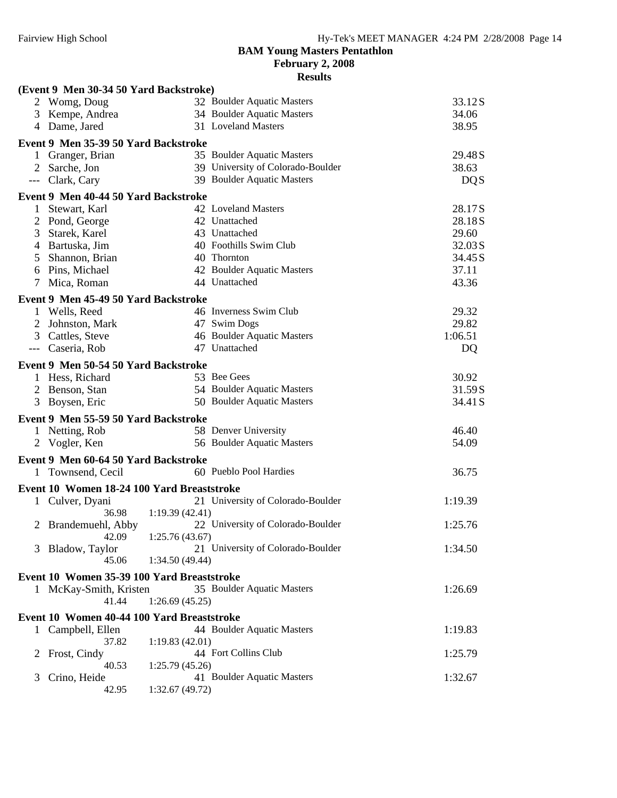**February 2, 2008**

|              | (Event 9 Men 30-34 50 Yard Backstroke)     |                 |                                                          |                   |  |
|--------------|--------------------------------------------|-----------------|----------------------------------------------------------|-------------------|--|
|              | 2 Womg, Doug                               |                 | 32 Boulder Aquatic Masters                               | 33.12S            |  |
| 3            | Kempe, Andrea                              |                 | 34 Boulder Aquatic Masters                               | 34.06             |  |
|              | 4 Dame, Jared                              |                 | 31 Loveland Masters                                      | 38.95             |  |
|              | Event 9 Men 35-39 50 Yard Backstroke       |                 |                                                          |                   |  |
|              | 1 Granger, Brian                           |                 | 35 Boulder Aquatic Masters                               | 29.48S            |  |
|              | 2 Sarche, Jon                              |                 | 39 University of Colorado-Boulder                        | 38.63             |  |
|              | --- Clark, Cary                            |                 | 39 Boulder Aquatic Masters                               | <b>DQS</b>        |  |
|              | Event 9 Men 40-44 50 Yard Backstroke       |                 |                                                          |                   |  |
|              | Stewart, Karl                              |                 | 42 Loveland Masters                                      | 28.17S            |  |
|              | Pond, George                               |                 | 42 Unattached                                            | 28.18S            |  |
| 3            | Starek, Karel                              |                 | 43 Unattached                                            | 29.60             |  |
| 4            | Bartuska, Jim                              |                 | 40 Foothills Swim Club                                   | 32.03S            |  |
| 5            | Shannon, Brian                             |                 | 40 Thornton                                              | 34.45 S           |  |
| 6            | Pins, Michael                              |                 | 42 Boulder Aquatic Masters                               | 37.11             |  |
| 7            | Mica, Roman                                |                 | 44 Unattached                                            | 43.36             |  |
|              | Event 9 Men 45-49 50 Yard Backstroke       |                 |                                                          |                   |  |
|              | 1 Wells, Reed                              |                 | 46 Inverness Swim Club                                   | 29.32             |  |
|              | Johnston, Mark                             |                 | 47 Swim Dogs                                             | 29.82             |  |
| 3            | Cattles, Steve                             |                 | 46 Boulder Aquatic Masters                               | 1:06.51           |  |
| $---$        | Caseria, Rob                               |                 | 47 Unattached                                            | DQ                |  |
|              |                                            |                 |                                                          |                   |  |
|              | Event 9 Men 50-54 50 Yard Backstroke       |                 | 53 Bee Gees                                              |                   |  |
|              | 1 Hess, Richard                            |                 |                                                          | 30.92             |  |
| 2<br>3       | Benson, Stan<br>Boysen, Eric               |                 | 54 Boulder Aquatic Masters<br>50 Boulder Aquatic Masters | 31.59S<br>34.41 S |  |
|              |                                            |                 |                                                          |                   |  |
|              | Event 9 Men 55-59 50 Yard Backstroke       |                 |                                                          |                   |  |
|              | 1 Netting, Rob                             |                 | 58 Denver University                                     | 46.40             |  |
|              | 2 Vogler, Ken                              |                 | 56 Boulder Aquatic Masters                               | 54.09             |  |
|              | Event 9 Men 60-64 50 Yard Backstroke       |                 |                                                          |                   |  |
|              | 1 Townsend, Cecil                          |                 | 60 Pueblo Pool Hardies                                   | 36.75             |  |
|              | Event 10 Women 18-24 100 Yard Breaststroke |                 |                                                          |                   |  |
|              | 1 Culver, Dyani                            |                 | 21 University of Colorado-Boulder                        | 1:19.39           |  |
|              | 36.98                                      | 1:19.39(42.41)  |                                                          |                   |  |
|              | 2 Brandemuehl, Abby                        |                 | 22 University of Colorado-Boulder                        | 1:25.76           |  |
|              | 42.09                                      | 1:25.76(43.67)  |                                                          |                   |  |
| 3            | Bladow, Taylor                             |                 | 21 University of Colorado-Boulder                        | 1:34.50           |  |
|              | 45.06                                      | 1:34.50 (49.44) |                                                          |                   |  |
|              | Event 10 Women 35-39 100 Yard Breaststroke |                 |                                                          |                   |  |
|              | 1 McKay-Smith, Kristen                     |                 | 35 Boulder Aquatic Masters                               | 1:26.69           |  |
|              | 41.44                                      | 1:26.69(45.25)  |                                                          |                   |  |
|              | Event 10 Women 40-44 100 Yard Breaststroke |                 |                                                          |                   |  |
|              | 1 Campbell, Ellen                          |                 | 44 Boulder Aquatic Masters                               | 1:19.83           |  |
|              | 37.82                                      | 1:19.83(42.01)  |                                                          |                   |  |
| $\mathbb{Z}$ | Frost, Cindy                               |                 | 44 Fort Collins Club                                     | 1:25.79           |  |
|              | 40.53                                      | 1:25.79(45.26)  |                                                          |                   |  |
| 3            | Crino, Heide                               |                 | 41 Boulder Aquatic Masters                               | 1:32.67           |  |
|              | 42.95                                      | 1:32.67(49.72)  |                                                          |                   |  |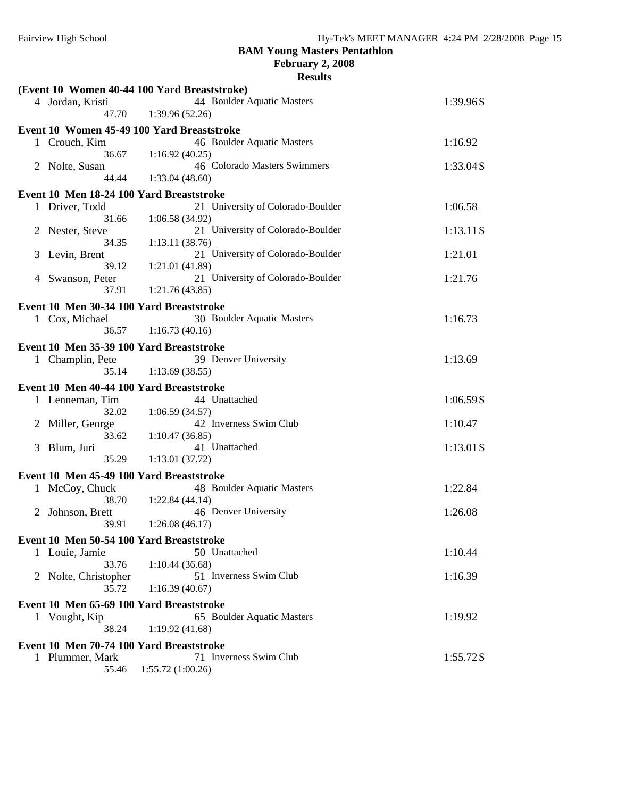**February 2, 2008**

|   |                                          | (Event 10 Women 40-44 100 Yard Breaststroke) |           |
|---|------------------------------------------|----------------------------------------------|-----------|
|   | 4 Jordan, Kristi<br>47.70                | 44 Boulder Aquatic Masters<br>1:39.96(52.26) | 1:39.96S  |
|   |                                          |                                              |           |
|   |                                          | Event 10 Women 45-49 100 Yard Breaststroke   |           |
|   | 1 Crouch, Kim                            | 46 Boulder Aquatic Masters                   | 1:16.92   |
|   | 36.67                                    | 1:16.92(40.25)                               |           |
|   | 2 Nolte, Susan                           | 46 Colorado Masters Swimmers                 | 1:33.04S  |
|   | 44.44                                    | 1:33.04(48.60)                               |           |
|   | Event 10 Men 18-24 100 Yard Breaststroke |                                              |           |
| 1 | Driver, Todd                             | 21 University of Colorado-Boulder            | 1:06.58   |
|   | 31.66                                    | 1:06.58(34.92)                               |           |
| 2 | Nester, Steve                            | 21 University of Colorado-Boulder            | 1:13.11S  |
|   | 34.35                                    | 1:13.11(38.76)                               |           |
| 3 | Levin, Brent                             | 21 University of Colorado-Boulder            | 1:21.01   |
|   | 39.12                                    |                                              |           |
|   |                                          | 1:21.01(41.89)                               |           |
| 4 | Swanson, Peter                           | 21 University of Colorado-Boulder            | 1:21.76   |
|   | 37.91                                    | 1:21.76(43.85)                               |           |
|   | Event 10 Men 30-34 100 Yard Breaststroke |                                              |           |
|   | 1 Cox, Michael                           | 30 Boulder Aquatic Masters                   | 1:16.73   |
|   | 36.57                                    | 1:16.73(40.16)                               |           |
|   |                                          |                                              |           |
|   | Event 10 Men 35-39 100 Yard Breaststroke |                                              |           |
|   | 1 Champlin, Pete                         | 39 Denver University                         | 1:13.69   |
|   | 35.14                                    | 1:13.69(38.55)                               |           |
|   | Event 10 Men 40-44 100 Yard Breaststroke |                                              |           |
|   | 1 Lenneman, Tim                          | 44 Unattached                                | 1:06.59S  |
|   | 32.02                                    | 1:06.59(34.57)                               |           |
| 2 | Miller, George                           | 42 Inverness Swim Club                       | 1:10.47   |
|   | 33.62                                    | 1:10.47(36.85)                               |           |
|   |                                          | 41 Unattached                                |           |
| 3 | Blum, Juri                               |                                              | 1:13.01 S |
|   | 35.29                                    | 1:13.01 (37.72)                              |           |
|   | Event 10 Men 45-49 100 Yard Breaststroke |                                              |           |
|   | 1 McCoy, Chuck                           | 48 Boulder Aquatic Masters                   | 1:22.84   |
|   | 38.70                                    | 1:22.84(44.14)                               |           |
| 2 | Johnson, Brett                           | 46 Denver University                         | 1:26.08   |
|   | 39.91                                    | 1:26.08(46.17)                               |           |
|   |                                          |                                              |           |
|   | Event 10 Men 50-54 100 Yard Breaststroke |                                              |           |
|   | 1 Louie, Jamie                           | 50 Unattached                                | 1:10.44   |
|   | 33.76                                    | 1:10.44(36.68)                               |           |
|   | 2 Nolte, Christopher                     | 51 Inverness Swim Club                       | 1:16.39   |
|   | 35.72                                    | 1:16.39(40.67)                               |           |
|   | Event 10 Men 65-69 100 Yard Breaststroke |                                              |           |
|   |                                          | 65 Boulder Aquatic Masters                   |           |
|   | 1 Vought, Kip                            |                                              | 1:19.92   |
|   | 38.24                                    | 1:19.92(41.68)                               |           |
|   | Event 10 Men 70-74 100 Yard Breaststroke |                                              |           |
|   | 1 Plummer, Mark                          | 71 Inverness Swim Club                       | 1:55.72S  |
|   | 55.46                                    | 1:55.72(1:00.26)                             |           |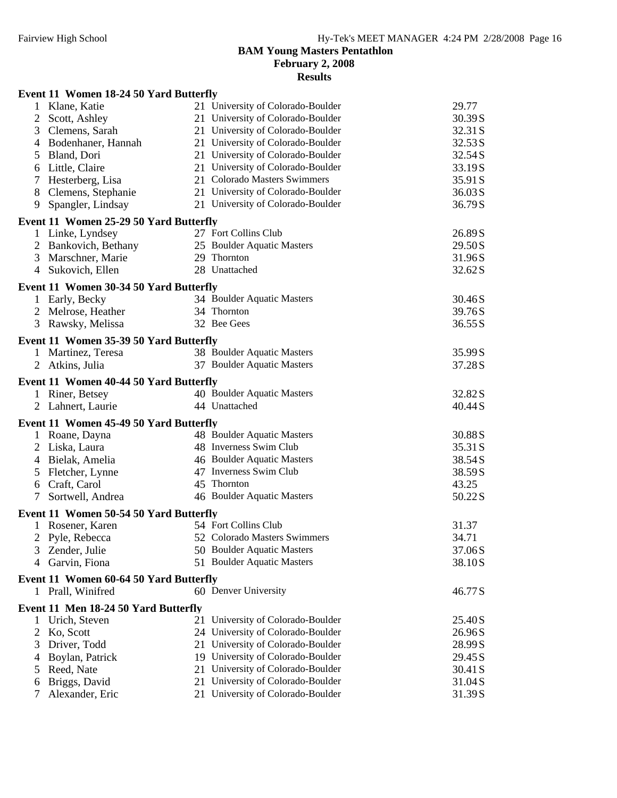**February 2, 2008**

|               | Event 11 Women 18-24 50 Yard Butterfly |                                   |         |
|---------------|----------------------------------------|-----------------------------------|---------|
|               | 1 Klane, Katie                         | 21 University of Colorado-Boulder | 29.77   |
| 2             | Scott, Ashley                          | 21 University of Colorado-Boulder | 30.39S  |
| 3             | Clemens, Sarah                         | 21 University of Colorado-Boulder | 32.31 S |
| 4             | Bodenhaner, Hannah                     | 21 University of Colorado-Boulder | 32.53S  |
| 5             | Bland, Dori                            | 21 University of Colorado-Boulder | 32.54S  |
| 6             | Little, Claire                         | 21 University of Colorado-Boulder | 33.19S  |
| 7             | Hesterberg, Lisa                       | 21 Colorado Masters Swimmers      | 35.91 S |
| 8             | Clemens, Stephanie                     | 21 University of Colorado-Boulder | 36.03S  |
| 9             | Spangler, Lindsay                      | 21 University of Colorado-Boulder | 36.79S  |
|               | Event 11 Women 25-29 50 Yard Butterfly |                                   |         |
|               | 1 Linke, Lyndsey                       | 27 Fort Collins Club              | 26.89S  |
|               | 2 Bankovich, Bethany                   | 25 Boulder Aquatic Masters        | 29.50S  |
|               | 3 Marschner, Marie                     | 29 Thornton                       | 31.96S  |
|               | 4 Sukovich, Ellen                      | 28 Unattached                     | 32.62S  |
|               | Event 11 Women 30-34 50 Yard Butterfly |                                   |         |
|               | 1 Early, Becky                         | 34 Boulder Aquatic Masters        | 30.46S  |
|               | 2 Melrose, Heather                     | 34 Thornton                       | 39.76S  |
|               | 3 Rawsky, Melissa                      | 32 Bee Gees                       | 36.55S  |
|               | Event 11 Women 35-39 50 Yard Butterfly |                                   |         |
|               | 1 Martinez, Teresa                     | 38 Boulder Aquatic Masters        | 35.99S  |
|               | 2 Atkins, Julia                        | 37 Boulder Aquatic Masters        | 37.28S  |
|               | Event 11 Women 40-44 50 Yard Butterfly |                                   |         |
|               | 1 Riner, Betsey                        | 40 Boulder Aquatic Masters        | 32.82S  |
|               | 2 Lahnert, Laurie                      | 44 Unattached                     | 40.44S  |
|               |                                        |                                   |         |
|               | Event 11 Women 45-49 50 Yard Butterfly |                                   |         |
|               | 1 Roane, Dayna                         | 48 Boulder Aquatic Masters        | 30.88S  |
| 2             | Liska, Laura                           | 48 Inverness Swim Club            | 35.31 S |
| 4             | Bielak, Amelia                         | 46 Boulder Aquatic Masters        | 38.54S  |
| 5             | Fletcher, Lynne                        | 47 Inverness Swim Club            | 38.59S  |
| 6             | Craft, Carol                           | 45 Thornton                       | 43.25   |
|               | Sortwell, Andrea                       | 46 Boulder Aquatic Masters        | 50.22S  |
|               | Event 11 Women 50-54 50 Yard Butterfly |                                   |         |
|               | Rosener, Karen                         | 54 Fort Collins Club              | 31.37   |
| 2             | Pyle, Rebecca                          | 52 Colorado Masters Swimmers      | 34.71   |
|               | Zender, Julie                          | 50 Boulder Aquatic Masters        | 37.06S  |
| 4             | Garvin, Fiona                          | 51 Boulder Aquatic Masters        | 38.10S  |
|               | Event 11 Women 60-64 50 Yard Butterfly |                                   |         |
|               | 1 Prall, Winifred                      | 60 Denver University              | 46.77S  |
|               | Event 11 Men 18-24 50 Yard Butterfly   |                                   |         |
| 1             | Urich, Steven                          | 21 University of Colorado-Boulder | 25.40S  |
| 2             | Ko, Scott                              | 24 University of Colorado-Boulder | 26.96S  |
| 3             | Driver, Todd                           | 21 University of Colorado-Boulder | 28.99S  |
| 4             | Boylan, Patrick                        | 19 University of Colorado-Boulder | 29.45S  |
| $\mathcal{L}$ | Reed, Nate                             | 21 University of Colorado-Boulder | 30.41 S |
| 6             | Briggs, David                          | 21 University of Colorado-Boulder | 31.04S  |
|               | Alexander, Eric                        | 21 University of Colorado-Boulder | 31.39S  |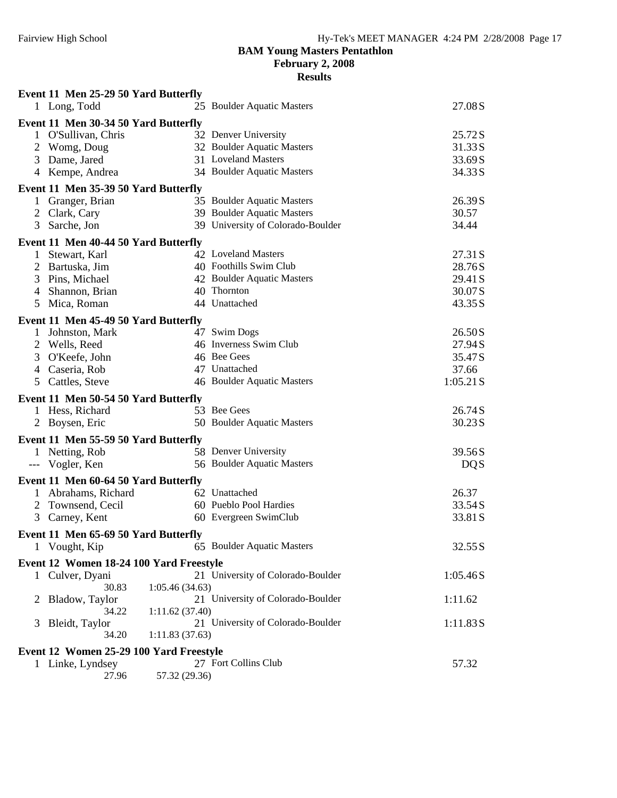**February 2, 2008**

|                                         | Event 11 Men 25-29 50 Yard Butterfly                     |                |                                   |            |  |  |  |  |
|-----------------------------------------|----------------------------------------------------------|----------------|-----------------------------------|------------|--|--|--|--|
|                                         | 1 Long, Todd                                             |                | 25 Boulder Aquatic Masters        | 27.08S     |  |  |  |  |
|                                         | Event 11 Men 30-34 50 Yard Butterfly                     |                |                                   |            |  |  |  |  |
|                                         | 1 O'Sullivan, Chris                                      |                | 32 Denver University              | 25.72S     |  |  |  |  |
| 2                                       | Womg, Doug                                               |                | 32 Boulder Aquatic Masters        | 31.33S     |  |  |  |  |
| 3                                       | Dame, Jared                                              |                | 31 Loveland Masters               | 33.69S     |  |  |  |  |
|                                         | 4 Kempe, Andrea                                          |                | 34 Boulder Aquatic Masters        | 34.33S     |  |  |  |  |
|                                         | Event 11 Men 35-39 50 Yard Butterfly                     |                |                                   |            |  |  |  |  |
|                                         | Granger, Brian                                           |                | 35 Boulder Aquatic Masters        | 26.39S     |  |  |  |  |
| 2                                       | Clark, Cary                                              |                | 39 Boulder Aquatic Masters        | 30.57      |  |  |  |  |
| 3                                       | Sarche, Jon                                              |                | 39 University of Colorado-Boulder | 34.44      |  |  |  |  |
|                                         | Event 11 Men 40-44 50 Yard Butterfly                     |                |                                   |            |  |  |  |  |
|                                         | Stewart, Karl                                            |                | 42 Loveland Masters               | 27.31 S    |  |  |  |  |
| 2                                       | Bartuska, Jim                                            |                | 40 Foothills Swim Club            | 28.76S     |  |  |  |  |
| 3                                       | Pins, Michael                                            |                | 42 Boulder Aquatic Masters        | 29.41 S    |  |  |  |  |
| 4                                       | Shannon, Brian                                           |                | 40 Thornton                       | 30.07S     |  |  |  |  |
| 5                                       | Mica, Roman                                              |                | 44 Unattached                     | 43.35S     |  |  |  |  |
|                                         | Event 11 Men 45-49 50 Yard Butterfly                     |                |                                   |            |  |  |  |  |
|                                         | 1 Johnston, Mark                                         |                | 47 Swim Dogs                      | 26.50S     |  |  |  |  |
|                                         | 2 Wells, Reed                                            |                | 46 Inverness Swim Club            | 27.94S     |  |  |  |  |
|                                         | 3 O'Keefe, John                                          |                | 46 Bee Gees                       | 35.47S     |  |  |  |  |
|                                         | 4 Caseria, Rob                                           |                | 47 Unattached                     | 37.66      |  |  |  |  |
|                                         | 5 Cattles, Steve                                         |                | 46 Boulder Aquatic Masters        | 1:05.21 S  |  |  |  |  |
|                                         | Event 11 Men 50-54 50 Yard Butterfly                     |                |                                   |            |  |  |  |  |
|                                         | 1 Hess, Richard                                          |                | 53 Bee Gees                       | 26.74S     |  |  |  |  |
|                                         | 2 Boysen, Eric                                           |                | 50 Boulder Aquatic Masters        | 30.23S     |  |  |  |  |
|                                         | Event 11 Men 55-59 50 Yard Butterfly                     |                |                                   |            |  |  |  |  |
|                                         | 1 Netting, Rob                                           |                | 58 Denver University              | 39.56S     |  |  |  |  |
|                                         | --- Vogler, Ken                                          |                | 56 Boulder Aquatic Masters        | <b>DQS</b> |  |  |  |  |
|                                         | Event 11 Men 60-64 50 Yard Butterfly                     |                |                                   |            |  |  |  |  |
|                                         | 1 Abrahams, Richard                                      |                | 62 Unattached                     | 26.37      |  |  |  |  |
|                                         | 2 Townsend, Cecil                                        |                | 60 Pueblo Pool Hardies            | 33.54S     |  |  |  |  |
|                                         | 3 Carney, Kent                                           |                | 60 Evergreen SwimClub             | 33.81 S    |  |  |  |  |
|                                         | Event 11 Men 65-69 50 Yard Butterfly                     |                |                                   |            |  |  |  |  |
|                                         | 1 Vought, Kip                                            |                | 65 Boulder Aquatic Masters        | 32.55 S    |  |  |  |  |
|                                         |                                                          |                |                                   |            |  |  |  |  |
| 1                                       | Event 12 Women 18-24 100 Yard Freestyle<br>Culver, Dyani |                | 21 University of Colorado-Boulder | 1:05.46S   |  |  |  |  |
|                                         | 30.83                                                    | 1:05.46(34.63) |                                   |            |  |  |  |  |
| 2                                       | Bladow, Taylor                                           |                | 21 University of Colorado-Boulder | 1:11.62    |  |  |  |  |
|                                         | 34.22                                                    | 1:11.62(37.40) |                                   |            |  |  |  |  |
| 3                                       | Bleidt, Taylor                                           |                | 21 University of Colorado-Boulder | 1:11.83S   |  |  |  |  |
|                                         | 34.20                                                    | 1:11.83(37.63) |                                   |            |  |  |  |  |
| Event 12 Women 25-29 100 Yard Freestyle |                                                          |                |                                   |            |  |  |  |  |
|                                         | 1 Linke, Lyndsey                                         |                | 27 Fort Collins Club              | 57.32      |  |  |  |  |
|                                         | 27.96                                                    | 57.32 (29.36)  |                                   |            |  |  |  |  |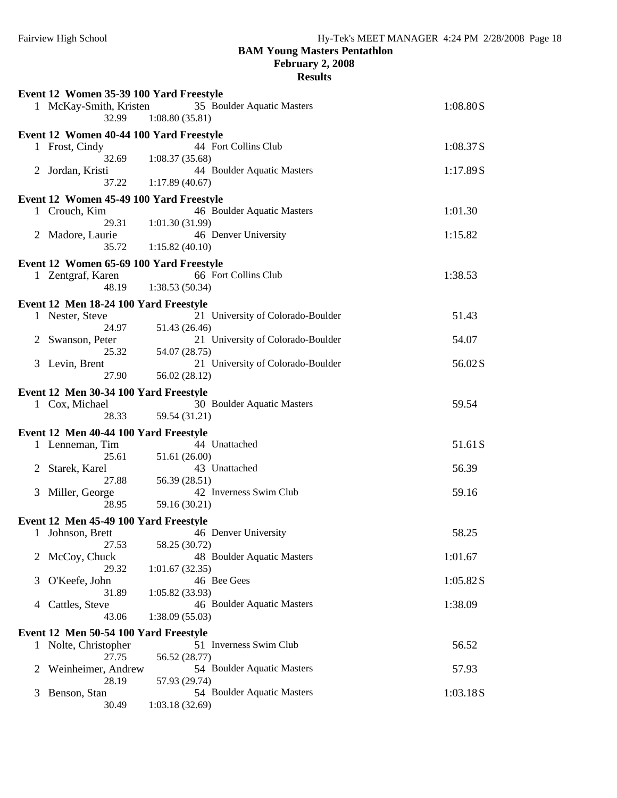**February 2, 2008**

| Event 12 Women 35-39 100 Yard Freestyle |                                         |                                              |          |  |  |  |  |
|-----------------------------------------|-----------------------------------------|----------------------------------------------|----------|--|--|--|--|
|                                         | 1 McKay-Smith, Kristen<br>32.99         | 35 Boulder Aquatic Masters<br>1:08.80(35.81) | 1:08.80S |  |  |  |  |
|                                         | Event 12 Women 40-44 100 Yard Freestyle |                                              |          |  |  |  |  |
|                                         | 1 Frost, Cindy<br>32.69                 | 44 Fort Collins Club<br>1:08.37(35.68)       | 1:08.37S |  |  |  |  |
| $\mathbf{2}^-$                          | Jordan, Kristi<br>37.22                 | 44 Boulder Aquatic Masters<br>1:17.89(40.67) | 1:17.89S |  |  |  |  |
|                                         |                                         |                                              |          |  |  |  |  |
|                                         | Event 12 Women 45-49 100 Yard Freestyle |                                              |          |  |  |  |  |
|                                         | 1 Crouch, Kim                           | 46 Boulder Aquatic Masters                   | 1:01.30  |  |  |  |  |
|                                         | 29.31                                   | 1:01.30(31.99)                               |          |  |  |  |  |
|                                         | 2 Madore, Laurie                        | 46 Denver University                         | 1:15.82  |  |  |  |  |
|                                         | 35.72                                   | 1:15.82(40.10)                               |          |  |  |  |  |
|                                         | Event 12 Women 65-69 100 Yard Freestyle |                                              |          |  |  |  |  |
|                                         | 1 Zentgraf, Karen                       | 66 Fort Collins Club                         | 1:38.53  |  |  |  |  |
|                                         | 48.19                                   | 1:38.53(50.34)                               |          |  |  |  |  |
|                                         |                                         |                                              |          |  |  |  |  |
|                                         | Event 12 Men 18-24 100 Yard Freestyle   |                                              |          |  |  |  |  |
|                                         | 1 Nester, Steve                         | 21 University of Colorado-Boulder            | 51.43    |  |  |  |  |
|                                         | 24.97                                   | 51.43 (26.46)                                |          |  |  |  |  |
|                                         | Swanson, Peter                          | 21 University of Colorado-Boulder            | 54.07    |  |  |  |  |
|                                         | 25.32                                   | 54.07 (28.75)                                |          |  |  |  |  |
| 3                                       | Levin, Brent                            | 21 University of Colorado-Boulder            | 56.02S   |  |  |  |  |
|                                         | 27.90                                   | 56.02 (28.12)                                |          |  |  |  |  |
|                                         |                                         |                                              |          |  |  |  |  |
|                                         | Event 12 Men 30-34 100 Yard Freestyle   |                                              |          |  |  |  |  |
|                                         | 1 Cox, Michael                          | 30 Boulder Aquatic Masters                   | 59.54    |  |  |  |  |
|                                         | 28.33                                   | 59.54 (31.21)                                |          |  |  |  |  |
|                                         | Event 12 Men 40-44 100 Yard Freestyle   |                                              |          |  |  |  |  |
|                                         | 1 Lenneman, Tim                         | 44 Unattached                                | 51.61S   |  |  |  |  |
|                                         | 25.61                                   | 51.61 (26.00)                                |          |  |  |  |  |
| 2                                       | Starek, Karel                           | 43 Unattached                                | 56.39    |  |  |  |  |
|                                         | 27.88                                   | 56.39 (28.51)                                |          |  |  |  |  |
| 3                                       |                                         | 42 Inverness Swim Club                       | 59.16    |  |  |  |  |
|                                         | Miller, George                          |                                              |          |  |  |  |  |
|                                         | 28.95                                   | 59.16 (30.21)                                |          |  |  |  |  |
| Event 12 Men 45-49 100 Yard Freestyle   |                                         |                                              |          |  |  |  |  |
|                                         | 1 Johnson, Brett                        | 46 Denver University                         | 58.25    |  |  |  |  |
|                                         | 27.53                                   | 58.25 (30.72)                                |          |  |  |  |  |
| 2                                       | McCoy, Chuck                            | 48 Boulder Aquatic Masters                   | 1:01.67  |  |  |  |  |
|                                         | 29.32                                   | 1:01.67(32.35)                               |          |  |  |  |  |
| 3                                       | O'Keefe, John                           | 46 Bee Gees                                  | 1:05.82S |  |  |  |  |
|                                         | 31.89                                   | 1:05.82(33.93)                               |          |  |  |  |  |
|                                         | Cattles, Steve                          | 46 Boulder Aquatic Masters                   | 1:38.09  |  |  |  |  |
| 4                                       |                                         |                                              |          |  |  |  |  |
| 43.06<br>1:38.09(55.03)                 |                                         |                                              |          |  |  |  |  |
| Event 12 Men 50-54 100 Yard Freestyle   |                                         |                                              |          |  |  |  |  |
|                                         | 1 Nolte, Christopher                    | 51 Inverness Swim Club                       | 56.52    |  |  |  |  |
|                                         | 27.75                                   | 56.52 (28.77)                                |          |  |  |  |  |
| 2                                       | Weinheimer, Andrew                      | 54 Boulder Aquatic Masters                   | 57.93    |  |  |  |  |
|                                         | 28.19                                   | 57.93 (29.74)                                |          |  |  |  |  |
| 3                                       | Benson, Stan                            | 54 Boulder Aquatic Masters                   | 1:03.18S |  |  |  |  |
|                                         | 30.49                                   | 1:03.18(32.69)                               |          |  |  |  |  |
|                                         |                                         |                                              |          |  |  |  |  |